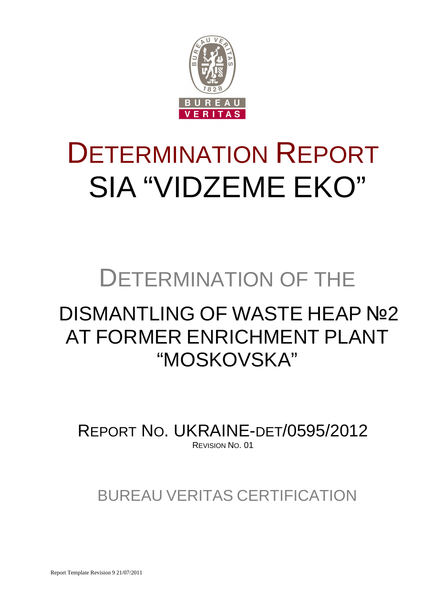

# DETERMINATION REPORT SIA "VIDZEME EKO"

# DETERMINATION OF THE

# DISMANTLING OF WASTE HEAP Nº2 AT FORMER ENRICHMENT PLANT "MOSKOVSKA"

REPORT NO. UKRAINE-DET/0595/2012 REVISION NO. 01

BUREAU VERITAS CERTIFICATION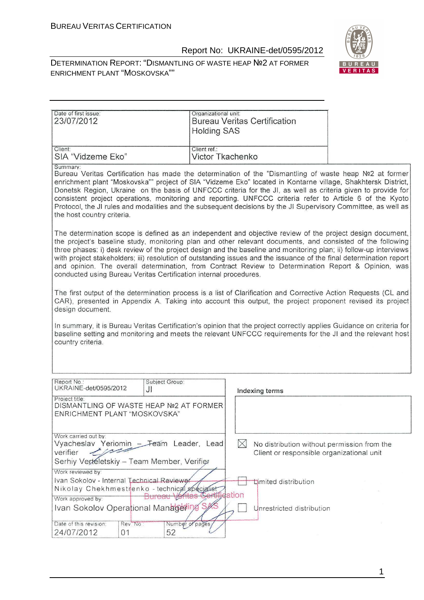DETERMINATION REPORT: "DISMANTLING OF WASTE HEAP №2 AT FORMER ENRICHMENT PLANT "MOSKOVSKA""



| Date of first issue:<br>23/07/2012                                                                                                                                                                                                                                                                                                                                                                                                                                                                                                                                                                                                              | Organizational unit:<br><b>Holding SAS</b> | <b>Bureau Veritas Certification</b>                                                                   |  |  |  |
|-------------------------------------------------------------------------------------------------------------------------------------------------------------------------------------------------------------------------------------------------------------------------------------------------------------------------------------------------------------------------------------------------------------------------------------------------------------------------------------------------------------------------------------------------------------------------------------------------------------------------------------------------|--------------------------------------------|-------------------------------------------------------------------------------------------------------|--|--|--|
|                                                                                                                                                                                                                                                                                                                                                                                                                                                                                                                                                                                                                                                 |                                            |                                                                                                       |  |  |  |
| Client:<br>SIA "Vidzeme Eko"                                                                                                                                                                                                                                                                                                                                                                                                                                                                                                                                                                                                                    | Client ref.:<br>Victor Tkachenko           |                                                                                                       |  |  |  |
| Summary:<br>Bureau Veritas Certification has made the determination of the "Dismantling of waste heap Nº2 at former<br>enrichment plant "Moskovska"" project of SIA "Vidzeme Eko" located in Kontarne village, Shakhtersk District,<br>Donetsk Region, Ukraine on the basis of UNFCCC criteria for the JI, as well as criteria given to provide for<br>consistent project operations, monitoring and reporting. UNFCCC criteria refer to Article 6 of the Kyoto<br>Protocol, the JI rules and modalities and the subsequent decisions by the JI Supervisory Committee, as well as<br>the host country criteria.                                 |                                            |                                                                                                       |  |  |  |
| The determination scope is defined as an independent and objective review of the project design document,<br>the project's baseline study, monitoring plan and other relevant documents, and consisted of the following<br>three phases: i) desk review of the project design and the baseline and monitoring plan; ii) follow-up interviews<br>with project stakeholders; iii) resolution of outstanding issues and the issuance of the final determination report<br>and opinion. The overall determination, from Contract Review to Determination Report & Opinion, was<br>conducted using Bureau Veritas Certification internal procedures. |                                            |                                                                                                       |  |  |  |
| The first output of the determination process is a list of Clarification and Corrective Action Requests (CL and<br>CAR), presented in Appendix A. Taking into account this output, the project proponent revised its project<br>design document.                                                                                                                                                                                                                                                                                                                                                                                                |                                            |                                                                                                       |  |  |  |
| In summary, it is Bureau Veritas Certification's opinion that the project correctly applies Guidance on criteria for<br>baseline setting and monitoring and meets the relevant UNFCCC requirements for the JI and the relevant host<br>country criteria.                                                                                                                                                                                                                                                                                                                                                                                        |                                            |                                                                                                       |  |  |  |
| Report No.:<br>UKRAINE-det/0595/2012<br>JI                                                                                                                                                                                                                                                                                                                                                                                                                                                                                                                                                                                                      | Subject Group:                             |                                                                                                       |  |  |  |
| Project title:<br>DISMANTLING OF WASTE HEAP №2 AT FORMER<br>ENRICHMENT PLANT "MOSKOVSKA"                                                                                                                                                                                                                                                                                                                                                                                                                                                                                                                                                        |                                            | Indexing terms                                                                                        |  |  |  |
| Work carried out by:<br>Vyacheslav Yeriomin - Feam Leader, Lead<br>verifier<br>Serhiy Vertéletskiy - Team Member, Verifier<br>Work reviewed by:                                                                                                                                                                                                                                                                                                                                                                                                                                                                                                 |                                            | $\bowtie$<br>No distribution without permission from the<br>Client or responsible organizational unit |  |  |  |
| Ivan Sokolov - Internal Technical Reviewer<br>Nikolay Chekhmestrenko - technical specialist<br>Work approved by:                                                                                                                                                                                                                                                                                                                                                                                                                                                                                                                                | Bureau Vz                                  | <b>Umited distribution</b><br>ation                                                                   |  |  |  |
| Ivan Sokolov Operational Managering<br>Date of this revision:<br>Rev. No.                                                                                                                                                                                                                                                                                                                                                                                                                                                                                                                                                                       | Number of pages                            | Unrestricted distribution                                                                             |  |  |  |
| 24/07/2012<br>01                                                                                                                                                                                                                                                                                                                                                                                                                                                                                                                                                                                                                                | 52                                         |                                                                                                       |  |  |  |

1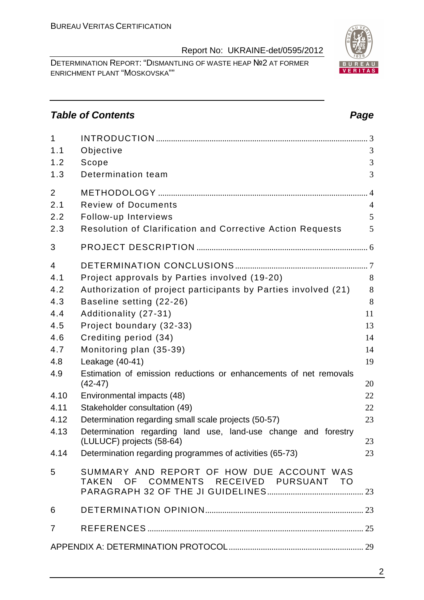DETERMINATION REPORT: "DISMANTLING OF WASTE HEAP №2 AT FORMER ENRICHMENT PLANT "MOSKOVSKA""

# **Table of Contents Page 2014**

| 1<br>1.1<br>1.2<br>1.3                                                                           | Objective<br>Scope<br>Determination team                                                                                                                                                                                                                                                                                                                                                                                                                                                                                                                                          | 3<br>3<br>3                                                             |
|--------------------------------------------------------------------------------------------------|-----------------------------------------------------------------------------------------------------------------------------------------------------------------------------------------------------------------------------------------------------------------------------------------------------------------------------------------------------------------------------------------------------------------------------------------------------------------------------------------------------------------------------------------------------------------------------------|-------------------------------------------------------------------------|
| $\overline{2}$<br>2.1<br>2.2<br>2.3                                                              | <b>Review of Documents</b><br>Follow-up Interviews<br><b>Resolution of Clarification and Corrective Action Requests</b>                                                                                                                                                                                                                                                                                                                                                                                                                                                           | $\overline{4}$<br>5<br>5                                                |
| 3                                                                                                |                                                                                                                                                                                                                                                                                                                                                                                                                                                                                                                                                                                   |                                                                         |
| 4<br>4.1<br>4.2<br>4.3<br>4.4<br>4.5<br>4.6<br>4.7<br>4.8<br>4.9<br>4.10<br>4.11<br>4.12<br>4.13 | Project approvals by Parties involved (19-20)<br>Authorization of project participants by Parties involved (21)<br>Baseline setting (22-26)<br>Additionality (27-31)<br>Project boundary (32-33)<br>Crediting period (34)<br>Monitoring plan (35-39)<br>Leakage (40-41)<br>Estimation of emission reductions or enhancements of net removals<br>$(42 - 47)$<br>Environmental impacts (48)<br>Stakeholder consultation (49)<br>Determination regarding small scale projects (50-57)<br>Determination regarding land use, land-use change and forestry<br>(LULUCF) projects (58-64) | 8<br>8<br>8<br>11<br>13<br>14<br>14<br>19<br>20<br>22<br>22<br>23<br>23 |
| 4.14                                                                                             | Determination regarding programmes of activities (65-73)                                                                                                                                                                                                                                                                                                                                                                                                                                                                                                                          | 23                                                                      |
| 5                                                                                                | SUMMARY AND REPORT OF HOW DUE ACCOUNT WAS<br>TAKEN OF COMMENTS RECEIVED PURSUANT TO                                                                                                                                                                                                                                                                                                                                                                                                                                                                                               |                                                                         |
| 6                                                                                                |                                                                                                                                                                                                                                                                                                                                                                                                                                                                                                                                                                                   |                                                                         |
| 7                                                                                                |                                                                                                                                                                                                                                                                                                                                                                                                                                                                                                                                                                                   |                                                                         |
|                                                                                                  |                                                                                                                                                                                                                                                                                                                                                                                                                                                                                                                                                                                   |                                                                         |
|                                                                                                  |                                                                                                                                                                                                                                                                                                                                                                                                                                                                                                                                                                                   |                                                                         |



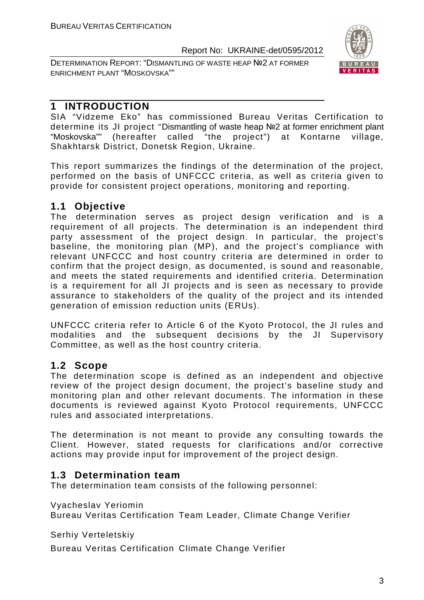DETERMINATION REPORT: "DISMANTLING OF WASTE HEAP №2 AT FORMER ENRICHMENT PLANT "MOSKOVSKA""



# **1 INTRODUCTION**

SIA "Vidzeme Eko" has commissioned Bureau Veritas Certification to determine its JI project "Dismantling of waste heap №2 at former enrichment plant "Moskovska"" (hereafter called "the project") at Kontarne village, Shakhtarsk District, Donetsk Region, Ukraine.

This report summarizes the findings of the determination of the project, performed on the basis of UNFCCC criteria, as well as criteria given to provide for consistent project operations, monitoring and reporting.

# **1.1 Objective**

The determination serves as project design verification and is a requirement of all projects. The determination is an independent third party assessment of the project design. In particular, the project's baseline, the monitoring plan (MP), and the project's compliance with relevant UNFCCC and host country criteria are determined in order to confirm that the project design, as documented, is sound and reasonable, and meets the stated requirements and identified criteria. Determination is a requirement for all JI projects and is seen as necessary to provide assurance to stakeholders of the quality of the project and its intended generation of emission reduction units (ERUs).

UNFCCC criteria refer to Article 6 of the Kyoto Protocol, the JI rules and modalities and the subsequent decisions by the JI Supervisory Committee, as well as the host country criteria.

# **1.2 Scope**

The determination scope is defined as an independent and objective review of the project design document, the project's baseline study and monitoring plan and other relevant documents. The information in these documents is reviewed against Kyoto Protocol requirements, UNFCCC rules and associated interpretations.

The determination is not meant to provide any consulting towards the Client. However, stated requests for clarifications and/or corrective actions may provide input for improvement of the project design.

# **1.3 Determination team**

The determination team consists of the following personnel:

Vyacheslav Yeriomin

Bureau Veritas Certification Team Leader, Climate Change Verifier

Serhiy Verteletskiy

Bureau Veritas Certification Climate Change Verifier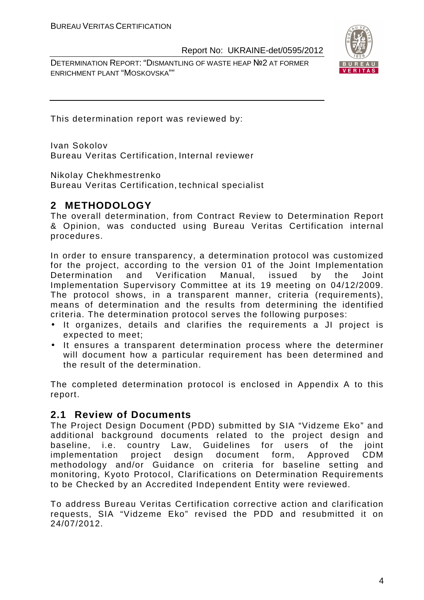DETERMINATION REPORT: "DISMANTLING OF WASTE HEAP №2 AT FORMER ENRICHMENT PLANT "MOSKOVSKA""



This determination report was reviewed by:

Ivan Sokolov Bureau Veritas Certification, Internal reviewer

Nikolay Chekhmestrenko Bureau Veritas Certification, technical specialist

# **2 METHODOLOGY**

The overall determination, from Contract Review to Determination Report & Opinion, was conducted using Bureau Veritas Certification internal procedures.

In order to ensure transparency, a determination protocol was customized for the project, according to the version 01 of the Joint Implementation Determination and Verification Manual, issued by the Joint Implementation Supervisory Committee at its 19 meeting on 04/12/2009. The protocol shows, in a transparent manner, criteria (requirements), means of determination and the results from determining the identified criteria. The determination protocol serves the following purposes:

- It organizes, details and clarifies the requirements a JI project is expected to meet;
- It ensures a transparent determination process where the determiner will document how a particular requirement has been determined and the result of the determination.

The completed determination protocol is enclosed in Appendix A to this report.

# **2.1 Review of Documents**

The Project Design Document (PDD) submitted by SIA "Vidzeme Eko" and additional background documents related to the project design and baseline, i.e. country Law, Guidelines for users of the joint implementation project design document form, Approved CDM methodology and/or Guidance on criteria for baseline setting and monitoring, Kyoto Protocol, Clarifications on Determination Requirements to be Checked by an Accredited Independent Entity were reviewed.

To address Bureau Veritas Certification corrective action and clarification requests, SIA "Vidzeme Eko" revised the PDD and resubmitted it on 24/07/2012.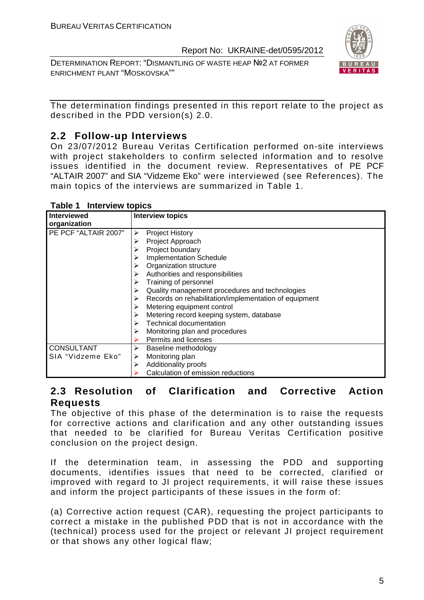DETERMINATION REPORT: "DISMANTLING OF WASTE HEAP №2 AT FORMER ENRICHMENT PLANT "MOSKOVSKA""



The determination findings presented in this report relate to the project as described in the PDD version(s) 2.0.

# **2.2 Follow-up Interviews**

On 23/07/2012 Bureau Veritas Certification performed on-site interviews with project stakeholders to confirm selected information and to resolve issues identified in the document review. Representatives of PE PCF "ALTAIR 2007" and SIA "Vidzeme Eko" were interviewed (see References). The main topics of the interviews are summarized in Table 1.

| <b>Interviewed</b>   | <b>Interview topics</b>                               |
|----------------------|-------------------------------------------------------|
| organization         |                                                       |
| PE PCF "ALTAIR 2007" | <b>Project History</b><br>⋗                           |
|                      | Project Approach<br>⋗                                 |
|                      | Project boundary                                      |
|                      | <b>Implementation Schedule</b>                        |
|                      | Organization structure                                |
|                      | Authorities and responsibilities                      |
|                      | Training of personnel                                 |
|                      | Quality management procedures and technologies        |
|                      | Records on rehabilitation/implementation of equipment |
|                      | Metering equipment control                            |
|                      | Metering record keeping system, database              |
|                      | <b>Technical documentation</b>                        |
|                      | Monitoring plan and procedures                        |
|                      | Permits and licenses                                  |
| <b>CONSULTANT</b>    | Baseline methodology<br>➤                             |
| SIA "Vidzeme Eko"    | Monitoring plan<br>➤                                  |
|                      | Additionality proofs<br>⋗                             |
|                      | Calculation of emission reductions                    |

#### **Table 1 Interview topics**

# **2.3 Resolution of Clarification and Corrective Action Requests**

The objective of this phase of the determination is to raise the requests for corrective actions and clarification and any other outstanding issues that needed to be clarified for Bureau Veritas Certification positive conclusion on the project design.

If the determination team, in assessing the PDD and supporting documents, identifies issues that need to be corrected, clarified or improved with regard to JI project requirements, it will raise these issues and inform the project participants of these issues in the form of:

(a) Corrective action request (CAR), requesting the project participants to correct a mistake in the published PDD that is not in accordance with the (technical) process used for the project or relevant JI project requirement or that shows any other logical flaw;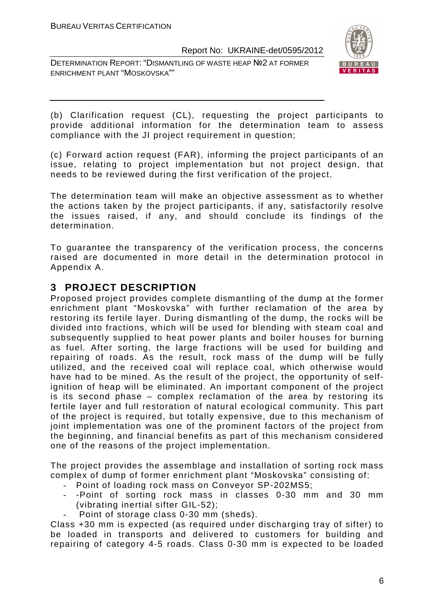DETERMINATION REPORT: "DISMANTLING OF WASTE HEAP №2 AT FORMER ENRICHMENT PLANT "MOSKOVSKA""



(b) Clarification request (CL), requesting the project participants to provide additional information for the determination team to assess compliance with the JI project requirement in question;

(c) Forward action request (FAR), informing the project participants of an issue, relating to project implementation but not project design, that needs to be reviewed during the first verification of the project.

The determination team will make an objective assessment as to whether the actions taken by the project participants, if any, satisfactorily resolve the issues raised, if any, and should conclude its findings of the determination.

To guarantee the transparency of the verification process, the concerns raised are documented in more detail in the determination protocol in Appendix A.

# **3 PROJECT DESCRIPTION**

Proposed project provides complete dismantling of the dump at the former enrichment plant "Moskovska" with further reclamation of the area by restoring its fertile layer. During dismantling of the dump, the rocks will be divided into fractions, which will be used for blending with steam coal and subsequently supplied to heat power plants and boiler houses for burning as fuel. After sorting, the large fractions will be used for building and repairing of roads. As the result, rock mass of the dump will be fully utilized, and the received coal will replace coal, which otherwise would have had to be mined. As the result of the project, the opportunity of selfignition of heap will be eliminated. An important component of the project is its second phase – complex reclamation of the area by restoring its fertile layer and full restoration of natural ecological community. This part of the project is required, but totally expensive, due to this mechanism of joint implementation was one of the prominent factors of the project from the beginning, and financial benefits as part of this mechanism considered one of the reasons of the project implementation.

The project provides the assemblage and installation of sorting rock mass complex of dump of former enrichment plant "Moskovska" consisting of:

- Point of loading rock mass on Conveyor SP-202MS5;
- -Point of sorting rock mass in classes 0-30 mm and 30 mm (vibrating inertial sifter GIL-52);
- Point of storage class 0-30 mm (sheds).

Class +30 mm is expected (as required under discharging tray of sifter) to be loaded in transports and delivered to customers for building and repairing of category 4-5 roads. Class 0-30 mm is expected to be loaded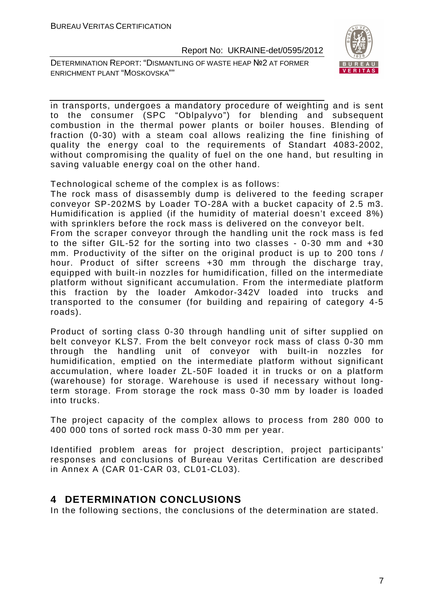DETERMINATION REPORT: "DISMANTLING OF WASTE HEAP №2 AT FORMER ENRICHMENT PLANT "MOSKOVSKA""



in transports, undergoes a mandatory procedure of weighting and is sent to the consumer (SPC "Oblpalyvo") for blending and subsequent combustion in the thermal power plants or boiler houses. Blending of fraction (0-30) with a steam coal allows realizing the fine finishing of quality the energy coal to the requirements of Standart 4083-2002, without compromising the quality of fuel on the one hand, but resulting in saving valuable energy coal on the other hand.

Technological scheme of the complex is as follows:

The rock mass of disassembly dump is delivered to the feeding scraper conveyor SP-202MS by Loader TO-28A with a bucket capacity of 2.5 m3. Humidification is applied (if the humidity of material doesn't exceed 8%) with sprinklers before the rock mass is delivered on the conveyor belt. From the scraper conveyor through the handling unit the rock mass is fed to the sifter GIL-52 for the sorting into two classes - 0-30 mm and +30 mm. Productivity of the sifter on the original product is up to 200 tons / hour. Product of sifter screens +30 mm through the discharge tray, equipped with built-in nozzles for humidification, filled on the intermediate platform without significant accumulation. From the intermediate platform this fraction by the loader Amkodor-342V loaded into trucks and transported to the consumer (for building and repairing of category 4-5 roads).

Product of sorting class 0-30 through handling unit of sifter supplied on belt conveyor KLS7. From the belt conveyor rock mass of class 0-30 mm through the handling unit of conveyor with built-in nozzles for humidification, emptied on the intermediate platform without significant accumulation, where loader ZL-50F loaded it in trucks or on a platform (warehouse) for storage. Warehouse is used if necessary without longterm storage. From storage the rock mass 0-30 mm by loader is loaded into trucks.

The project capacity of the complex allows to process from 280 000 to 400 000 tons of sorted rock mass 0-30 mm per year.

Identified problem areas for project description, project participants' responses and conclusions of Bureau Veritas Certification are described in Annex A (CAR 01-CAR 03, CL01-CL03).

# **4 DETERMINATION CONCLUSIONS**

In the following sections, the conclusions of the determination are stated.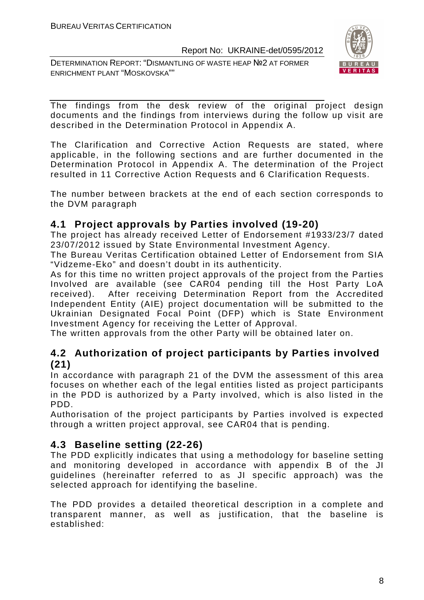DETERMINATION REPORT: "DISMANTLING OF WASTE HEAP №2 AT FORMER ENRICHMENT PLANT "MOSKOVSKA""



The findings from the desk review of the original project design documents and the findings from interviews during the follow up visit are described in the Determination Protocol in Appendix A.

The Clarification and Corrective Action Requests are stated, where applicable, in the following sections and are further documented in the Determination Protocol in Appendix A. The determination of the Project resulted in 11 Corrective Action Requests and 6 Clarification Requests.

The number between brackets at the end of each section corresponds to the DVM paragraph

# **4.1 Project approvals by Parties involved (19-20)**

The project has already received Letter of Endorsement #1933/23/7 dated 23/07/2012 issued by State Environmental Investment Agency.

The Bureau Veritas Certification obtained Letter of Endorsement from SIA "Vidzeme-Eko" and doesn't doubt in its authenticity.

As for this time no written project approvals of the project from the Parties Involved are available (see CAR04 pending till the Host Party LoA received). After receiving Determination Report from the Accredited Independent Entity (AIE) project documentation will be submitted to the Ukrainian Designated Focal Point (DFP) which is State Environment Investment Agency for receiving the Letter of Approval.

The written approvals from the other Party will be obtained later on.

# **4.2 Authorization of project participants by Parties involved (21)**

In accordance with paragraph 21 of the DVM the assessment of this area focuses on whether each of the legal entities listed as project participants in the PDD is authorized by a Party involved, which is also listed in the PDD.

Authorisation of the project participants by Parties involved is expected through a written project approval, see CAR04 that is pending.

# **4.3 Baseline setting (22-26)**

The PDD explicitly indicates that using a methodology for baseline setting and monitoring developed in accordance with appendix B of the JI guidelines (hereinafter referred to as JI specific approach) was the selected approach for identifying the baseline.

The PDD provides a detailed theoretical description in a complete and transparent manner, as well as justification, that the baseline is established: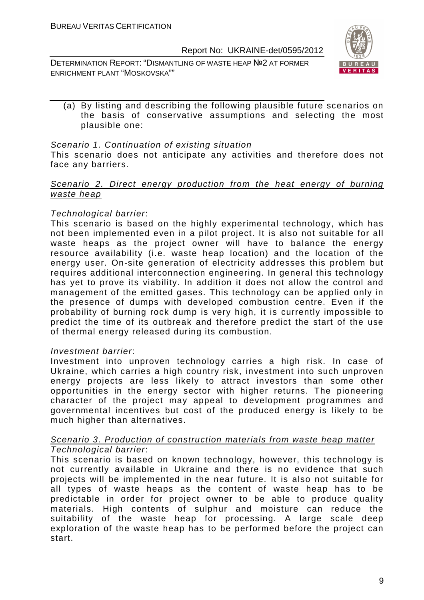DETERMINATION REPORT: "DISMANTLING OF WASTE HEAP №2 AT FORMER ENRICHMENT PLANT "MOSKOVSKA""



(a) By listing and describing the following plausible future scenarios on the basis of conservative assumptions and selecting the most plausible one:

#### Scenario 1. Continuation of existing situation

This scenario does not anticipate any activities and therefore does not face any barriers.

#### Scenario 2. Direct energy production from the heat energy of burning waste heap

### Technological barrier:

This scenario is based on the highly experimental technology, which has not been implemented even in a pilot project. It is also not suitable for all waste heaps as the project owner will have to balance the energy resource availability (i.e. waste heap location) and the location of the energy user. On-site generation of electricity addresses this problem but requires additional interconnection engineering. In general this technology has yet to prove its viability. In addition it does not allow the control and management of the emitted gases. This technology can be applied only in the presence of dumps with developed combustion centre. Even if the probability of burning rock dump is very high, it is currently impossible to predict the time of its outbreak and therefore predict the start of the use of thermal energy released during its combustion.

### Investment barrier:

Investment into unproven technology carries a high risk. In case of Ukraine, which carries a high country risk, investment into such unproven energy projects are less likely to attract investors than some other opportunities in the energy sector with higher returns. The pioneering character of the project may appeal to development programmes and governmental incentives but cost of the produced energy is likely to be much higher than alternatives.

#### Scenario 3. Production of construction materials from waste heap matter Technological barrier:

This scenario is based on known technology, however, this technology is not currently available in Ukraine and there is no evidence that such projects will be implemented in the near future. It is also not suitable for all types of waste heaps as the content of waste heap has to be predictable in order for project owner to be able to produce quality materials. High contents of sulphur and moisture can reduce the suitability of the waste heap for processing. A large scale deep exploration of the waste heap has to be performed before the project can start.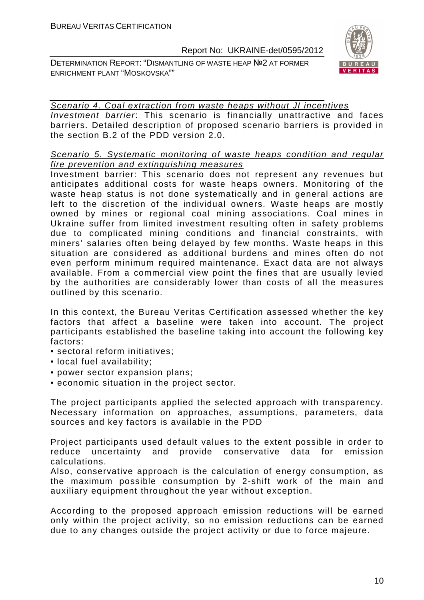DETERMINATION REPORT: "DISMANTLING OF WASTE HEAP №2 AT FORMER ENRICHMENT PLANT "MOSKOVSKA""



# Scenario 4. Coal extraction from waste heaps without JI incentives

Investment barrier: This scenario is financially unattractive and faces barriers. Detailed description of proposed scenario barriers is provided in the section B.2 of the PDD version 2.0.

### Scenario 5. Systematic monitoring of waste heaps condition and regular fire prevention and extinguishing measures

Investment barrier: This scenario does not represent any revenues but anticipates additional costs for waste heaps owners. Monitoring of the waste heap status is not done systematically and in general actions are left to the discretion of the individual owners. Waste heaps are mostly owned by mines or regional coal mining associations. Coal mines in Ukraine suffer from limited investment resulting often in safety problems due to complicated mining conditions and financial constraints, with miners' salaries often being delayed by few months. Waste heaps in this situation are considered as additional burdens and mines often do not even perform minimum required maintenance. Exact data are not always available. From a commercial view point the fines that are usually levied by the authorities are considerably lower than costs of all the measures outlined by this scenario.

In this context, the Bureau Veritas Certification assessed whether the key factors that affect a baseline were taken into account. The project participants established the baseline taking into account the following key factors:

- sectoral reform initiatives;
- local fuel availability;
- power sector expansion plans;
- economic situation in the project sector.

The project participants applied the selected approach with transparency. Necessary information on approaches, assumptions, parameters, data sources and key factors is available in the PDD

Project participants used default values to the extent possible in order to reduce uncertainty and provide conservative data for emission calculations.

Also, conservative approach is the calculation of energy consumption, as the maximum possible consumption by 2-shift work of the main and auxiliary equipment throughout the year without exception.

According to the proposed approach emission reductions will be earned only within the project activity, so no emission reductions can be earned due to any changes outside the project activity or due to force majeure.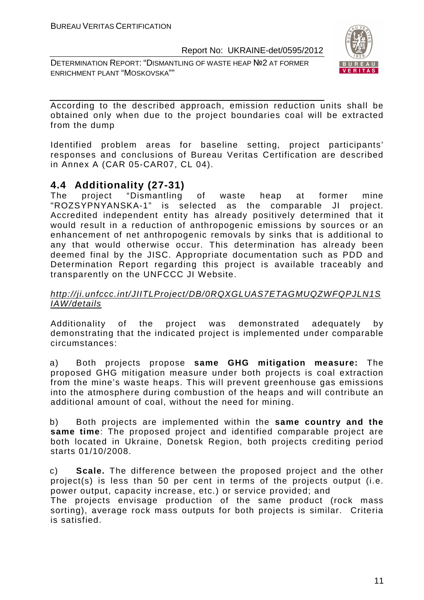DETERMINATION REPORT: "DISMANTLING OF WASTE HEAP №2 AT FORMER ENRICHMENT PLANT "MOSKOVSKA""



According to the described approach, emission reduction units shall be obtained only when due to the project boundaries coal will be extracted from the dump

Identified problem areas for baseline setting, project participants' responses and conclusions of Bureau Veritas Certification are described in Annex A (CAR 05-CAR07, CL 04).

# **4.4 Additionality (27-31)**

The project "Dismantling of waste heap at former mine "ROZSYPNYANSKA-1" is selected as the comparable JI project. Accredited independent entity has already positively determined that it would result in a reduction of anthropogenic emissions by sources or an enhancement of net anthropogenic removals by sinks that is additional to any that would otherwise occur. This determination has already been deemed final by the JISC. Appropriate documentation such as PDD and Determination Report regarding this project is available traceably and transparently on the UNFCCC JI Website.

# http://ji.unfccc.int/JIITLProject/DB/0RQXGLUAS7ETAGMUQZWFQPJLN1S IAW/details

Additionality of the project was demonstrated adequately by demonstrating that the indicated project is implemented under comparable circumstances:

a) Both projects propose **same GHG mitigation measure:** The proposed GHG mitigation measure under both projects is coal extraction from the mine's waste heaps. This will prevent greenhouse gas emissions into the atmosphere during combustion of the heaps and will contribute an additional amount of coal, without the need for mining.

b) Both projects are implemented within the **same country and the same time**: The proposed project and identified comparable project are both located in Ukraine, Donetsk Region, both projects crediting period starts 01/10/2008.

c) **Scale.** The difference between the proposed project and the other project(s) is less than 50 per cent in terms of the projects output (i.e. power output, capacity increase, etc.) or service provided; and

The projects envisage production of the same product (rock mass sorting), average rock mass outputs for both projects is similar. Criteria is satisfied.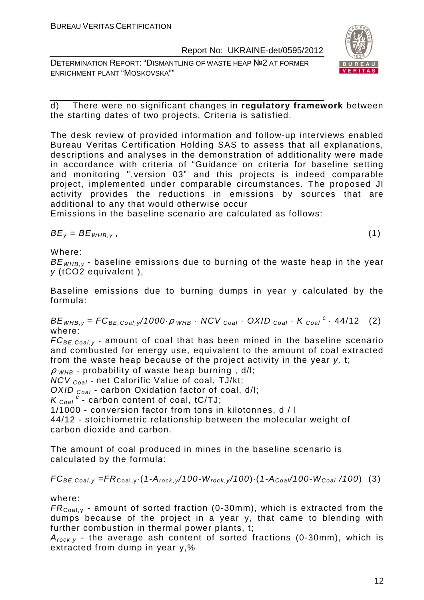DETERMINATION REPORT: "DISMANTLING OF WASTE HEAP №2 AT FORMER ENRICHMENT PLANT "MOSKOVSKA""



d) There were no significant changes in **regulatory framework** between the starting dates of two projects. Criteria is satisfied.

The desk review of provided information and follow-up interviews enabled Bureau Veritas Certification Holding SAS to assess that all explanations, descriptions and analyses in the demonstration of additionality were made in accordance with criteria of "Guidance on criteria for baseline setting and monitoring ",version 03" and this projects is indeed comparable project, implemented under comparable circumstances. The proposed JI activity provides the reductions in emissions by sources that are additional to any that would otherwise occur

Emissions in the baseline scenario are calculated as follows:

 $BE_v = BE_{WHB,v}$ , (1)

Where:

 $BE_{WHRV}$  - baseline emissions due to burning of the waste heap in the year y (tCO2 equivalent ),

Baseline emissions due to burning dumps in year y calculated by the formula:

 $BE_{WHB,y} = FC_{BE,Coal,y}/1000 \cdot \rho_{WHB} \cdot NCV_{Coal} \cdot OXID_{Coal} \cdot K_{Coal}^c \cdot 44/12$  (2) where:

 $FC_{BE,Coal,v}$  - amount of coal that has been mined in the baseline scenario and combusted for energy use, equivalent to the amount of coal extracted from the waste heap because of the project activity in the year y, t;

 $\rho$  <sub>WHB</sub> - probability of waste heap burning, d/l;

 $NCV_{Coal}$  - net Calorific Value of coal, TJ/kt;

OXID  $_{Coal}$  - carbon Oxidation factor of coal, d/l:

 $K_{\text{Coal}}^c$  - carbon content of coal, tC/TJ;

1/1000 - conversion factor from tons in kilotonnes, d / l

44/12 - stoichiometric relationship between the molecular weight of carbon dioxide and carbon.

The amount of coal produced in mines in the baseline scenario is calculated by the formula:

$$
FC_{BE,Coal,y} = FR_{Coal,y} \cdot (1 - A_{rock,y}/100 - W_{rock,y}/100) \cdot (1 - A_{Coal}/100 - W_{Coal}/100)
$$
 (3)

where:

 $FR_{\text{Coal,v}}$  - amount of sorted fraction (0-30mm), which is extracted from the dumps because of the project in a year y, that came to blending with further combustion in thermal power plants, t;

 $A_{rock, v}$  - the average ash content of sorted fractions (0-30mm), which is extracted from dump in year y,%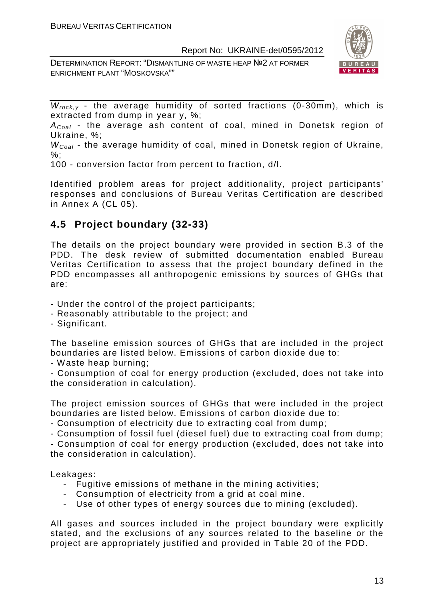DETERMINATION REPORT: "DISMANTLING OF WASTE HEAP №2 AT FORMER ENRICHMENT PLANT "MOSKOVSKA""



 $W_{rock, v}$  - the average humidity of sorted fractions (0-30mm), which is extracted from dump in year y, %;

 $A_{Coal}$  - the average ash content of coal, mined in Donetsk region of Ukraine, %;

 $W_{Coal}$  - the average humidity of coal, mined in Donetsk region of Ukraine,  $\%$ :

100 - conversion factor from percent to fraction, d/l.

Identified problem areas for project additionality, project participants' responses and conclusions of Bureau Veritas Certification are described in Annex A (CL 05).

# **4.5 Project boundary (32-33)**

The details on the project boundary were provided in section B.3 of the PDD. The desk review of submitted documentation enabled Bureau Veritas Certification to assess that the project boundary defined in the PDD encompasses all anthropogenic emissions by sources of GHGs that are:

- Under the control of the project participants;
- Reasonably attributable to the project; and
- Significant.

The baseline emission sources of GHGs that are included in the project boundaries are listed below. Emissions of carbon dioxide due to:

- Waste heap burning;

- Consumption of coal for energy production (excluded, does not take into the consideration in calculation).

The project emission sources of GHGs that were included in the project boundaries are listed below. Emissions of carbon dioxide due to:

- Consumption of electricity due to extracting coal from dump;

- Consumption of fossil fuel (diesel fuel) due to extracting coal from dump; - Consumption of coal for energy production (excluded, does not take into the consideration in calculation).

Leakages:

- Fugitive emissions of methane in the mining activities;
- Consumption of electricity from a grid at coal mine.
- Use of other types of energy sources due to mining (excluded).

All gases and sources included in the project boundary were explicitly stated, and the exclusions of any sources related to the baseline or the project are appropriately justified and provided in Table 20 of the PDD.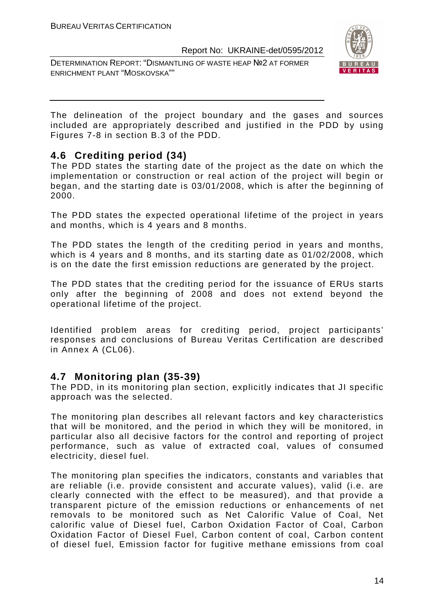DETERMINATION REPORT: "DISMANTLING OF WASTE HEAP №2 AT FORMER ENRICHMENT PLANT "MOSKOVSKA""



The delineation of the project boundary and the gases and sources included are appropriately described and justified in the PDD by using Figures 7-8 in section B.3 of the PDD.

# **4.6 Crediting period (34)**

The PDD states the starting date of the project as the date on which the implementation or construction or real action of the project will begin or began, and the starting date is 03/01/2008, which is after the beginning of 2000.

The PDD states the expected operational lifetime of the project in years and months, which is 4 years and 8 months.

The PDD states the length of the crediting period in years and months, which is 4 years and 8 months, and its starting date as 01/02/2008, which is on the date the first emission reductions are generated by the project.

The PDD states that the crediting period for the issuance of ERUs starts only after the beginning of 2008 and does not extend beyond the operational lifetime of the project.

Identified problem areas for crediting period, project participants' responses and conclusions of Bureau Veritas Certification are described in Annex A (CL06).

# **4.7 Monitoring plan (35-39)**

The PDD, in its monitoring plan section, explicitly indicates that JI specific approach was the selected.

The monitoring plan describes all relevant factors and key characteristics that will be monitored, and the period in which they will be monitored, in particular also all decisive factors for the control and reporting of project performance, such as value of extracted coal, values of consumed electricity, diesel fuel.

The monitoring plan specifies the indicators, constants and variables that are reliable (i.e. provide consistent and accurate values), valid (i.e. are clearly connected with the effect to be measured), and that provide a transparent picture of the emission reductions or enhancements of net removals to be monitored such as Net Calorific Value of Coal, Net calorific value of Diesel fuel, Carbon Oxidation Factor of Coal, Carbon Oxidation Factor of Diesel Fuel, Carbon content of coal, Carbon content of diesel fuel, Emission factor for fugitive methane emissions from coal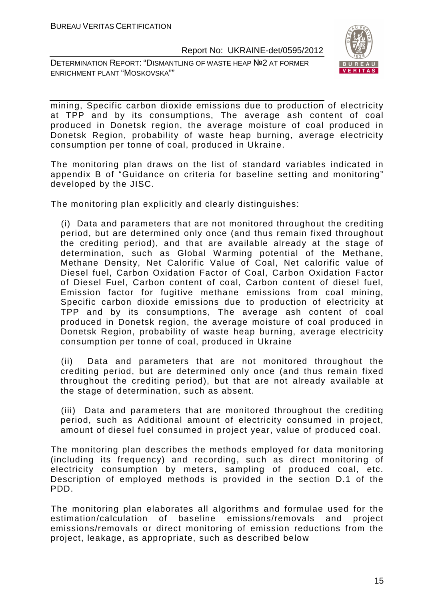DETERMINATION REPORT: "DISMANTLING OF WASTE HEAP №2 AT FORMER ENRICHMENT PLANT "MOSKOVSKA""



mining, Specific carbon dioxide emissions due to production of electricity at TPP and by its consumptions, The average ash content of coal produced in Donetsk region, the average moisture of coal produced in Donetsk Region, probability of waste heap burning, average electricity consumption per tonne of coal, produced in Ukraine.

The monitoring plan draws on the list of standard variables indicated in appendix B of "Guidance on criteria for baseline setting and monitoring" developed by the JISC.

The monitoring plan explicitly and clearly distinguishes:

(i) Data and parameters that are not monitored throughout the crediting period, but are determined only once (and thus remain fixed throughout the crediting period), and that are available already at the stage of determination, such as Global Warming potential of the Methane, Methane Density, Net Calorific Value of Coal, Net calorific value of Diesel fuel, Carbon Oxidation Factor of Coal, Carbon Oxidation Factor of Diesel Fuel, Carbon content of coal, Carbon content of diesel fuel, Emission factor for fugitive methane emissions from coal mining, Specific carbon dioxide emissions due to production of electricity at TPP and by its consumptions, The average ash content of coal produced in Donetsk region, the average moisture of coal produced in Donetsk Region, probability of waste heap burning, average electricity consumption per tonne of coal, produced in Ukraine

(ii) Data and parameters that are not monitored throughout the crediting period, but are determined only once (and thus remain fixed throughout the crediting period), but that are not already available at the stage of determination, such as absent.

(iii) Data and parameters that are monitored throughout the crediting period, such as Additional amount of electricity consumed in project, amount of diesel fuel consumed in project year, value of produced coal.

The monitoring plan describes the methods employed for data monitoring (including its frequency) and recording, such as direct monitoring of electricity consumption by meters, sampling of produced coal, etc. Description of employed methods is provided in the section D.1 of the PDD.

The monitoring plan elaborates all algorithms and formulae used for the estimation/calculation of baseline emissions/removals and project emissions/removals or direct monitoring of emission reductions from the project, leakage, as appropriate, such as described below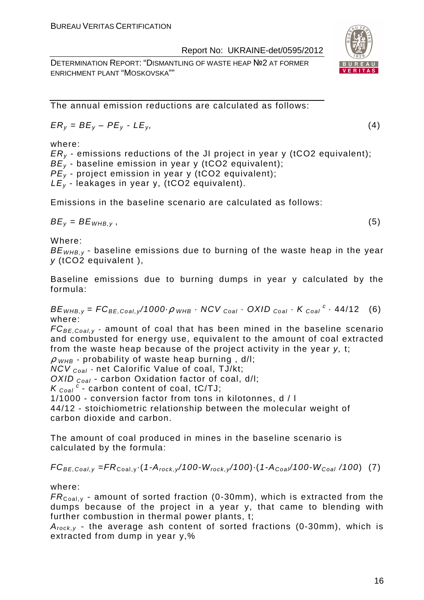DETERMINATION REPORT: "DISMANTLING OF WASTE HEAP №2 AT FORMER ENRICHMENT PLANT "MOSKOVSKA""

The annual emission reductions are calculated as follows:

$$
ER_y = BE_y - PE_y - LE_y, \tag{4}
$$

where:

 $ER<sub>v</sub>$  - emissions reductions of the JI project in year y (tCO2 equivalent);  $BE_{y}$  - baseline emission in year y (tCO2 equivalent);

 $PE<sub>y</sub>$  - project emission in year y (tCO2 equivalent);

 $LE_v$  - leakages in year y, (tCO2 equivalent).

Emissions in the baseline scenario are calculated as follows:

 $BE_v = BE_{WHB.v}$ , (5)

Where:

 $BE<sub>WHB-V</sub>$  - baseline emissions due to burning of the waste heap in the year y (tCO2 equivalent ),

Baseline emissions due to burning dumps in year y calculated by the formula:

 $BE_{WHB,y} = FC_{BE,Coal,y}$ /1000 $\rho_{WHB}$  · NCV  $_{Coal}$  · OXID  $_{Coal}$  · K  $_{Coal}$  <sup>c</sup> · 44/12 (6) where:

 $FC_{BE, coal,v}$  - amount of coal that has been mined in the baseline scenario and combusted for energy use, equivalent to the amount of coal extracted from the waste heap because of the project activity in the year y, t;

 $\rho$  w<sub>HB</sub> - probability of waste heap burning, d/l;

 $NCV_{Coal}$  - net Calorific Value of coal, TJ/kt;

OXID  $_{Coal}$  - carbon Oxidation factor of coal, d/l;

 $K_{\text{Coal}}^c$  - carbon content of coal, tC/TJ;

1/1000 - conversion factor from tons in kilotonnes, d / l

44/12 - stoichiometric relationship between the molecular weight of carbon dioxide and carbon.

The amount of coal produced in mines in the baseline scenario is calculated by the formula:

 $FC_{BE,Coal,y} = FR_{Coal,y} \cdot (1-A_{rock,y}/100-W_{rock,y}/100) \cdot (1-A_{Coal}/100-W_{Coal}/100)$  (7)

where:

 $FR_{\text{Coal,v}}$  - amount of sorted fraction (0-30mm), which is extracted from the dumps because of the project in a year y, that came to blending with further combustion in thermal power plants, t;

 $A_{rock, v}$  - the average ash content of sorted fractions (0-30mm), which is extracted from dump in year y,%

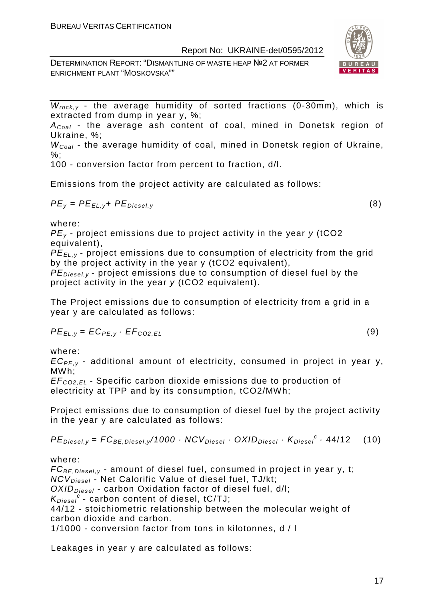DETERMINATION REPORT: "DISMANTLING OF WASTE HEAP №2 AT FORMER ENRICHMENT PLANT "MOSKOVSKA""



 $W_{rock, v}$  - the average humidity of sorted fractions (0-30mm), which is extracted from dump in year y, %;

 $A_{Coal}$  - the average ash content of coal, mined in Donetsk region of Ukraine, %;

 $W_{Coal}$  - the average humidity of coal, mined in Donetsk region of Ukraine,  $\%$ :

100 - conversion factor from percent to fraction, d/l.

Emissions from the project activity are calculated as follows:

$$
PE_{y} = PE_{EL,y} + PE_{Diesel,y}
$$
 (8)

where:

 $PE<sub>v</sub>$  - project emissions due to project activity in the year y (tCO2 equivalent),

PE*Е*L,y - project emissions due to consumption of electricity from the grid by the project activity in the year y (tCO2 equivalent),

 $PE_{\text{Diesel},v}$  - project emissions due to consumption of diesel fuel by the project activity in the year y (tCO2 equivalent).

The Project emissions due to consumption of electricity from a grid in a year y are calculated as follows:

$$
PE_{EL,y} = EC_{PE,y} \cdot EF_{CO2,EL}
$$
 (9)

where:

 $EC_{PE,V}$  - additional amount of electricity, consumed in project in year y, MWh;

EF<sup>C</sup>*О*2,EL - Specific carbon dioxide emissions due to production of electricity at TPP and by its consumption, tCO2/MWh;

Project emissions due to consumption of diesel fuel by the project activity in the year y are calculated as follows:

 $PE_{\text{Diesel},y} = FC_{\text{BE},\text{Diesel},y}/1000 \cdot NCV_{\text{Diesel}} \cdot OXID_{\text{Diesel}} \cdot K_{\text{Diesel}}^c \cdot 44/12$  (10)

where:

 $FC_{BE, Diesel, y}$  - amount of diesel fuel, consumed in project in year y, t; NCV<sub>Diesel</sub> - Net Calorific Value of diesel fuel, TJ/kt;  $OXID<sub>Diesel</sub>$  - carbon Oxidation factor of diesel fuel, d/l;  $K_{Diesel}^c$  - carbon content of diesel, tC/TJ; 44/12 - stoichiometric relationship between the molecular weight of carbon dioxide and carbon. 1/1000 - conversion factor from tons in kilotonnes, d / l

Leakages in year y are calculated as follows: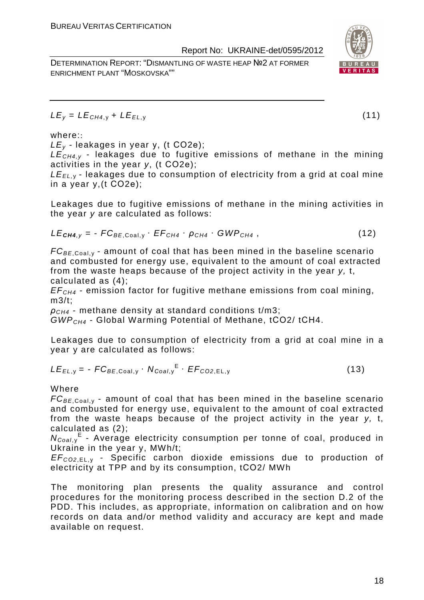DETERMINATION REPORT: "DISMANTLING OF WASTE HEAP №2 AT FORMER ENRICHMENT PLANT "MOSKOVSKA""

 $LE_v = LE_{CH4,v} + LE_{EL,v}$  (11)

# where::

 $LE_v$  - leakages in year y, (t CO2e);

 $LE<sub>CH4,V</sub>$  - leakages due to fugitive emissions of methane in the mining activities in the year y, (t СО2е);

 $LE_{EL, y}$  - leakages due to consumption of electricity from a grid at coal mine in a year y,(t СО2е);

Leakages due to fugitive emissions of methane in the mining activities in the year y are calculated as follows:

$$
LE_{\text{CH4},y} = -FC_{BE,Coal,y} \cdot EF_{CH4} \cdot \rho_{CH4} \cdot GWP_{CH4}, \qquad (12)
$$

 $FC_{BE, coal,v}$  - amount of coal that has been mined in the baseline scenario and combusted for energy use, equivalent to the amount of coal extracted from the waste heaps because of the project activity in the year y, t, calculated as (4);

 $EF<sub>CH4</sub>$  - emission factor for fugitive methane emissions from coal mining, m3/t;

 $ρ<sub>CH4</sub>$  - methane density at standard conditions t/m3;

GWPCH4 - Global Warming Potential of Methane, tСО2/ tСН4.

Leakages due to consumption of electricity from a grid at coal mine in a year y are calculated as follows:

$$
LE_{EL,y} = -FC_{BE,Coal,y} \cdot N_{Coal,y}^{E} \cdot EF_{CO2,EL,y}
$$
 (13)

Where

 $FC_{BE, coal,v}$  - amount of coal that has been mined in the baseline scenario and combusted for energy use, equivalent to the amount of coal extracted from the waste heaps because of the project activity in the year y, t, calculated as (2);

N<sub>Coal,y</sub><sup>E</sup> - Average electricity consumption per tonne of coal, produced in Ukraine in the year y, MWh/t;

EF<sup>C</sup>*О*2,EL, <sup>у</sup> - Specific carbon dioxide emissions due to production of electricity at TPP and by its consumption, tСО2/ MWh

The monitoring plan presents the quality assurance and control procedures for the monitoring process described in the section D.2 of the PDD. This includes, as appropriate, information on calibration and on how records on data and/or method validity and accuracy are kept and made available on request.

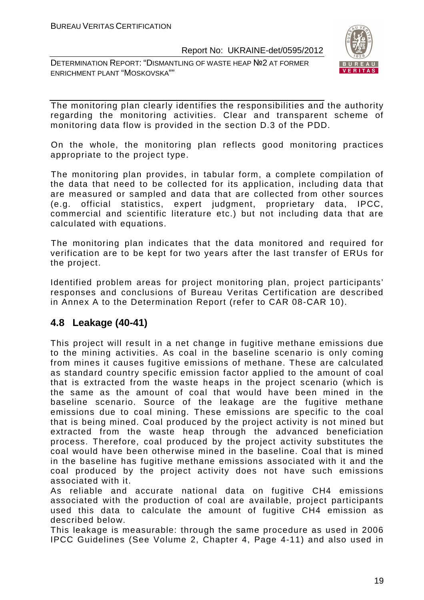DETERMINATION REPORT: "DISMANTLING OF WASTE HEAP №2 AT FORMER ENRICHMENT PLANT "MOSKOVSKA""



The monitoring plan clearly identifies the responsibilities and the authority regarding the monitoring activities. Clear and transparent scheme of monitoring data flow is provided in the section D.3 of the PDD.

On the whole, the monitoring plan reflects good monitoring practices appropriate to the project type.

The monitoring plan provides, in tabular form, a complete compilation of the data that need to be collected for its application, including data that are measured or sampled and data that are collected from other sources (e.g. official statistics, expert judgment, proprietary data, IPCC, commercial and scientific literature etc.) but not including data that are calculated with equations.

The monitoring plan indicates that the data monitored and required for verification are to be kept for two years after the last transfer of ERUs for the project.

Identified problem areas for project monitoring plan, project participants' responses and conclusions of Bureau Veritas Certification are described in Annex A to the Determination Report (refer to CAR 08-CAR 10).

# **4.8 Leakage (40-41)**

This project will result in a net change in fugitive methane emissions due to the mining activities. As coal in the baseline scenario is only coming from mines it causes fugitive emissions of methane. These are calculated as standard country specific emission factor applied to the amount of coal that is extracted from the waste heaps in the project scenario (which is the same as the amount of coal that would have been mined in the baseline scenario. Source of the leakage are the fugitive methane emissions due to coal mining. These emissions are specific to the coal that is being mined. Coal produced by the project activity is not mined but extracted from the waste heap through the advanced beneficiation process. Therefore, coal produced by the project activity substitutes the coal would have been otherwise mined in the baseline. Coal that is mined in the baseline has fugitive methane emissions associated with it and the coal produced by the project activity does not have such emissions associated with it.

As reliable and accurate national data on fugitive CH4 emissions associated with the production of coal are available, project participants used this data to calculate the amount of fugitive CH4 emission as described below.

This leakage is measurable: through the same procedure as used in 2006 IPCC Guidelines (See Volume 2, Chapter 4, Page 4-11) and also used in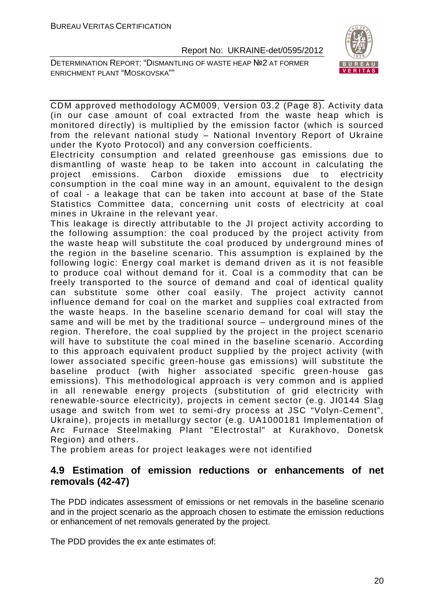DETERMINATION REPORT: "DISMANTLING OF WASTE HEAP №2 AT FORMER ENRICHMENT PLANT "MOSKOVSKA""



CDM approved methodology ACM009, Version 03.2 (Page 8). Activity data (in our case amount of coal extracted from the waste heap which is monitored directly) is multiplied by the emission factor (which is sourced from the relevant national study – National Inventory Report of Ukraine under the Kyoto Protocol) and any conversion coefficients.

Electricity consumption and related greenhouse gas emissions due to dismantling of waste heap to be taken into account in calculating the project emissions. Carbon dioxide emissions due to electricity consumption in the coal mine way in an amount, equivalent to the design of coal - a leakage that can be taken into account at base of the State Statistics Committee data, concerning unit costs of electricity at coal mines in Ukraine in the relevant year.

This leakage is directly attributable to the JI project activity according to the following assumption: the coal produced by the project activity from the waste heap will substitute the coal produced by underground mines of the region in the baseline scenario. This assumption is explained by the following logic: Energy coal market is demand driven as it is not feasible to produce coal without demand for it. Coal is a commodity that can be freely transported to the source of demand and coal of identical quality can substitute some other coal easily. The project activity cannot influence demand for coal on the market and supplies coal extracted from the waste heaps. In the baseline scenario demand for coal will stay the same and will be met by the traditional source – underground mines of the region. Therefore, the coal supplied by the project in the project scenario will have to substitute the coal mined in the baseline scenario. According to this approach equivalent product supplied by the project activity (with lower associated specific green-house gas emissions) will substitute the baseline product (with higher associated specific green-house gas emissions). This methodological approach is very common and is applied in all renewable energy projects (substitution of grid electricity with renewable-source electricity), projects in cement sector (e.g. JI0144 Slag usage and switch from wet to semi-dry process at JSC "Volyn-Cement", Ukraine), projects in metallurgy sector (e.g. UA1000181 Implementation of Arc Furnace Steelmaking Plant "Electrostal" at Kurakhovo, Donetsk Region) and others.

The problem areas for project leakages were not identified

# **4.9 Estimation of emission reductions or enhancements of net removals (42-47)**

The PDD indicates assessment of emissions or net removals in the baseline scenario and in the project scenario as the approach chosen to estimate the emission reductions or enhancement of net removals generated by the project.

The PDD provides the ex ante estimates of: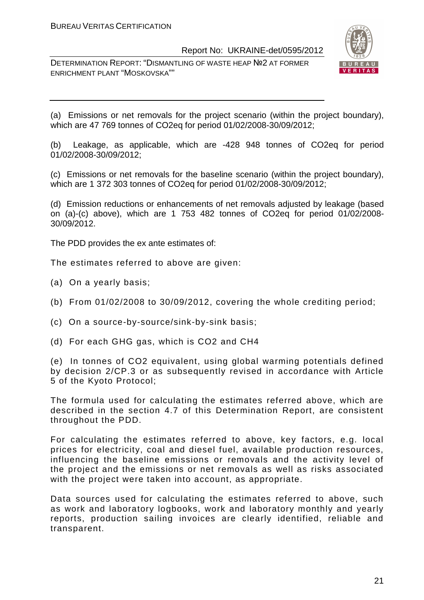DETERMINATION REPORT: "DISMANTLING OF WASTE HEAP №2 AT FORMER ENRICHMENT PLANT "MOSKOVSKA""



(a) Emissions or net removals for the project scenario (within the project boundary), which are 47 769 tonnes of CO2eq for period 01/02/2008-30/09/2012;

(b) Leakage, as applicable, which are -428 948 tonnes of CO2eq for period 01/02/2008-30/09/2012;

(c) Emissions or net removals for the baseline scenario (within the project boundary), which are 1 372 303 tonnes of CO2eq for period 01/02/2008-30/09/2012;

(d) Emission reductions or enhancements of net removals adjusted by leakage (based on (a)-(c) above), which are 1 753 482 tonnes of CO2eq for period 01/02/2008- 30/09/2012.

The PDD provides the ex ante estimates of:

The estimates referred to above are given:

- (a) On a yearly basis;
- (b) From 01/02/2008 to 30/09/2012, covering the whole crediting period;
- (c) On a source-by-source/sink-by-sink basis;
- (d) For each GHG gas, which is CO2 and CH4

(e) In tonnes of CO2 equivalent, using global warming potentials defined by decision 2/CP.3 or as subsequently revised in accordance with Article 5 of the Kyoto Protocol;

The formula used for calculating the estimates referred above, which are described in the section 4.7 of this Determination Report, are consistent throughout the PDD.

For calculating the estimates referred to above, key factors, e.g. local prices for electricity, coal and diesel fuel, available production resources, influencing the baseline emissions or removals and the activity level of the project and the emissions or net removals as well as risks associated with the project were taken into account, as appropriate.

Data sources used for calculating the estimates referred to above, such as work and laboratory logbooks, work and laboratory monthly and yearly reports, production sailing invoices are clearly identified, reliable and transparent.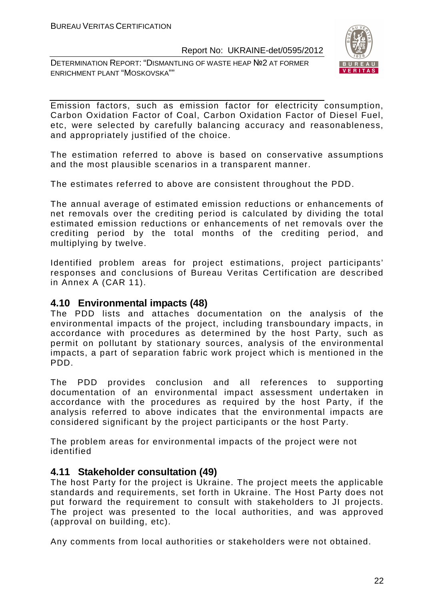DETERMINATION REPORT: "DISMANTLING OF WASTE HEAP №2 AT FORMER ENRICHMENT PLANT "MOSKOVSKA""



Emission factors, such as emission factor for electricity consumption, Carbon Oxidation Factor of Coal, Carbon Oxidation Factor of Diesel Fuel, etc, were selected by carefully balancing accuracy and reasonableness, and appropriately justified of the choice.

The estimation referred to above is based on conservative assumptions and the most plausible scenarios in a transparent manner.

The estimates referred to above are consistent throughout the PDD.

The annual average of estimated emission reductions or enhancements of net removals over the crediting period is calculated by dividing the total estimated emission reductions or enhancements of net removals over the crediting period by the total months of the crediting period, and multiplying by twelve.

Identified problem areas for project estimations, project participants' responses and conclusions of Bureau Veritas Certification are described in Annex A (CAR 11).

# **4.10 Environmental impacts (48)**

The PDD lists and attaches documentation on the analysis of the environmental impacts of the project, including transboundary impacts, in accordance with procedures as determined by the host Party, such as permit on pollutant by stationary sources, analysis of the environmental impacts, a part of separation fabric work project which is mentioned in the PDD.

The PDD provides conclusion and all references to supporting documentation of an environmental impact assessment undertaken in accordance with the procedures as required by the host Party, if the analysis referred to above indicates that the environmental impacts are considered significant by the project participants or the host Party.

The problem areas for environmental impacts of the project were not identified

# **4.11 Stakeholder consultation (49)**

The host Party for the project is Ukraine. The project meets the applicable standards and requirements, set forth in Ukraine. The Host Party does not put forward the requirement to consult with stakeholders to JI projects. The project was presented to the local authorities, and was approved (approval on building, etc).

Any comments from local authorities or stakeholders were not obtained.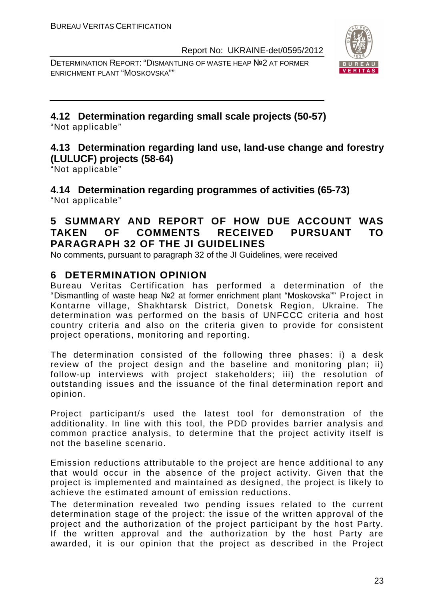DETERMINATION REPORT: "DISMANTLING OF WASTE HEAP №2 AT FORMER ENRICHMENT PLANT "MOSKOVSKA""



# **4.12 Determination regarding small scale projects (50-57)**

"Not applicable"

# **4.13 Determination regarding land use, land-use change and forestry (LULUCF) projects (58-64)**

"Not applicable"

**4.14 Determination regarding programmes of activities (65-73)**  "Not applicable"

# **5 SUMMARY AND REPORT OF HOW DUE ACCOUNT WAS TAKEN OF COMMENTS RECEIVED PURSUANT TO PARAGRAPH 32 OF THE JI GUIDELINES**

No comments, pursuant to paragraph 32 of the JI Guidelines, were received

# **6 DETERMINATION OPINION**

Bureau Veritas Certification has performed a determination of the "Dismantling of waste heap №2 at former enrichment plant "Moskovska"" Project in Kontarne village, Shakhtarsk District, Donetsk Region, Ukraine. The determination was performed on the basis of UNFCCC criteria and host country criteria and also on the criteria given to provide for consistent project operations, monitoring and reporting.

The determination consisted of the following three phases: i) a desk review of the project design and the baseline and monitoring plan; ii) follow-up interviews with project stakeholders; iii) the resolution of outstanding issues and the issuance of the final determination report and opinion.

Project participant/s used the latest tool for demonstration of the additionality. In line with this tool, the PDD provides barrier analysis and common practice analysis, to determine that the project activity itself is not the baseline scenario.

Emission reductions attributable to the project are hence additional to any that would occur in the absence of the project activity. Given that the project is implemented and maintained as designed, the project is likely to achieve the estimated amount of emission reductions.

The determination revealed two pending issues related to the current determination stage of the project: the issue of the written approval of the project and the authorization of the project participant by the host Party. If the written approval and the authorization by the host Party are awarded, it is our opinion that the project as described in the Project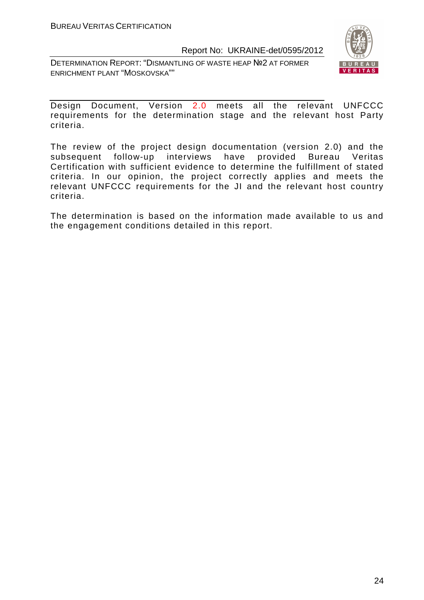DETERMINATION REPORT: "DISMANTLING OF WASTE HEAP №2 AT FORMER ENRICHMENT PLANT "MOSKOVSKA""



Design Document, Version 2.0 meets all the relevant UNFCCC requirements for the determination stage and the relevant host Party criteria.

The review of the project design documentation (version 2.0) and the subsequent follow-up interviews have provided Bureau Veritas Certification with sufficient evidence to determine the fulfillment of stated criteria. In our opinion, the project correctly applies and meets the relevant UNFCCC requirements for the JI and the relevant host country criteria.

The determination is based on the information made available to us and the engagement conditions detailed in this report.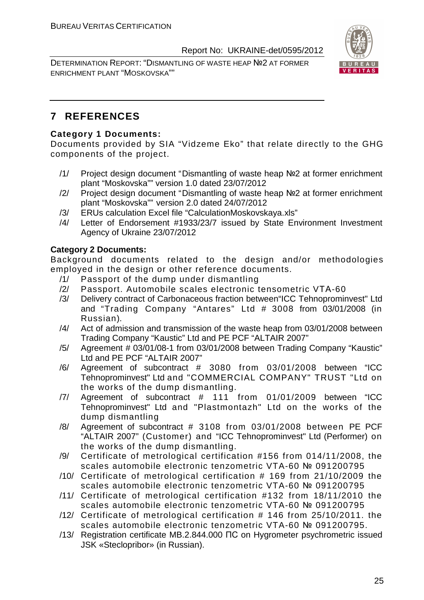DETERMINATION REPORT: "DISMANTLING OF WASTE HEAP №2 AT FORMER ENRICHMENT PLANT "MOSKOVSKA""



# **7 REFERENCES**

# **Category 1 Documents:**

Documents provided by SIA "Vidzeme Eko" that relate directly to the GHG components of the project.

- /1/ Project design document "Dismantling of waste heap №2 at former enrichment plant "Moskovska"" version 1.0 dated 23/07/2012
- /2/ Project design document "Dismantling of waste heap №2 at former enrichment plant "Moskovska"" version 2.0 dated 24/07/2012
- /3/ ERUs calculation Excel file "CalculationMoskovskaya.xls"
- /4/ Letter of Endorsement #1933/23/7 issued by State Environment Investment Agency of Ukraine 23/07/2012

# **Category 2 Documents:**

Background documents related to the design and/or methodologies employed in the design or other reference documents.

- /1/ Passport of the dump under dismantling
- /2/ Passport. Automobile scales electronic tensometric VТА-60
- /3/ Delivery contract of Carbonaceous fraction between"ICC Tehnoprominvest" Ltd and "Trading Company "Antares" Ltd # 3008 from 03/01/2008 (in Russian).
- /4/ Act of admission and transmission of the waste heap from 03/01/2008 between Trading Company "Kaustic" Ltd and PE PCF "ALTAIR 2007"
- /5/ Agreement # 03/01/08-1 from 03/01/2008 between Trading Company "Kaustic" Ltd and PE PCF "ALTAIR 2007"
- /6/ Agreement of subcontract # 3080 from 03/01/2008 between "ICC Tehnoprominvest" Ltd and "COMMERCIAL COMPANY" TRUST "Ltd on the works of the dump dismantling.
- /7/ Agreement of subcontract # 111 from 01/01/2009 between "ICC Tehnoprominvest" Ltd and "Plastmontazh" Ltd on the works of the dump dismantling
- /8/ Agreement of subcontract # 3108 from 03/01/2008 between PE PCF "ALTAIR 2007" (Customer) and "ICC Tehnoprominvest" Ltd (Performer) on the works of the dump dismantling.
- /9/ Certificate of metrological certification #156 from 014/11/2008, the scales automobile electronic tenzometric VTA-60 № 091200795
- /10/ Certificate of metrological certification # 169 from 21/10/2009 the scales automobile electronic tenzometric VTA-60 № 091200795
- /11/ Certificate of metrological certification #132 from 18/11/2010 the scales automobile electronic tenzometric VTA-60 № 091200795
- /12/ Certificate of metrological certification # 146 from 25/10/2011. the scales automobile electronic tenzometric VTA-60 № 091200795.
- /13/ Registration certificate MB.2.844.000 ПС on Hygrometer psychrometric issued JSK «Steclopribor» (in Russian).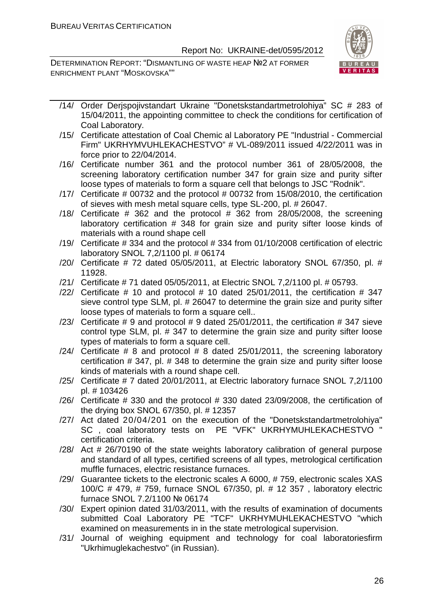

- /14/ Order Derjspojivstandart Ukraine "Donetskstandartmetrolohiya" SC # 283 of 15/04/2011, the appointing committee to check the conditions for certification of Coal Laboratory.
- /15/ Certificate attestation of Coal Chemic al Laboratory PE "Industrial Commercial Firm" UKRHYMVUHLEKACHESTVO" # VL-089/2011 issued 4/22/2011 was in force prior to 22/04/2014.
- /16/ Certificate number 361 and the protocol number 361 of 28/05/2008, the screening laboratory certification number 347 for grain size and purity sifter loose types of materials to form a square cell that belongs to JSC "Rodnik".
- /17/ Certificate # 00732 and the protocol # 00732 from 15/08/2010, the certification of sieves with mesh metal square cells, type SL-200, pl. # 26047.
- $/18/$  Certificate # 362 and the protocol # 362 from 28/05/2008, the screening laboratory certification # 348 for grain size and purity sifter loose kinds of materials with a round shape cell
- /19/ Certificate # 334 and the protocol # 334 from 01/10/2008 certification of electric laboratory SNOL 7,2/1100 pl. # 06174
- /20/ Certificate # 72 dated 05/05/2011, at Electric laboratory SNOL 67/350, pl. # 11928.
- /21/ Certificate # 71 dated 05/05/2011, at Electric SNOL 7,2/1100 pl. # 05793.
- $/22/$  Certificate # 10 and protocol # 10 dated 25/01/2011, the certification # 347 sieve control type SLM, pl. # 26047 to determine the grain size and purity sifter loose types of materials to form a square cell..
- /23/ Certificate  $\#$  9 and protocol  $\#$  9 dated 25/01/2011, the certification  $\#$  347 sieve control type SLM, pl. # 347 to determine the grain size and purity sifter loose types of materials to form a square cell.
- /24/ Certificate  $# 8$  and protocol  $# 8$  dated 25/01/2011, the screening laboratory certification # 347, pl. # 348 to determine the grain size and purity sifter loose kinds of materials with a round shape cell.
- /25/ Certificate # 7 dated 20/01/2011, at Electric laboratory furnace SNOL 7,2/1100 pl. # 103426
- /26/ Certificate # 330 and the protocol # 330 dated 23/09/2008, the certification of the drying box SNOL 67/350, pl. # 12357
- /27/ Act dated 20/04/201 on the execution of the "Donetskstandartmetrolohiya" SC , coal laboratory tests on PE "VFK" UKRHYMUHLEKACHESTVO " certification criteria.
- /28/ Act # 26/70190 of the state weights laboratory calibration of general purpose and standard of all types, certified screens of all types, metrological certification muffle furnaces, electric resistance furnaces.
- /29/ Guarantee tickets to the electronic scales A 6000, # 759, electronic scales XAS 100/C # 479, # 759, furnace SNOL 67/350, pl. # 12 357 , laboratory electric furnace SNOL 7.2/1100 № 06174
- /30/ Expert opinion dated 31/03/2011, with the results of examination of documents submitted Coal Laboratory PE "TCF" UKRHYMUHLEKACHESTVO "which examined on measurements in in the state metrological supervision.
- /31/ Journal of weighing equipment and technology for coal laboratoriesfirm "Ukrhimuglekachestvo" (in Russian).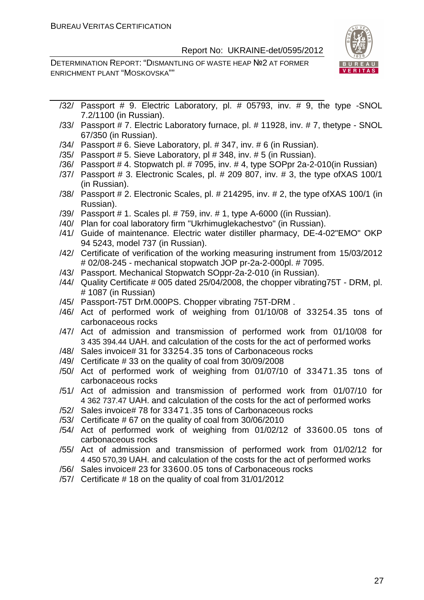

- /32/ Passport # 9. Electric Laboratory, pl. # 05793, inv. # 9, the type -SNOL 7.2/1100 (in Russian).
- /33/ Passport # 7. Electric Laboratory furnace, pl. # 11928, inv. # 7, thetype SNOL 67/350 (in Russian).
- /34/ Passport # 6. Sieve Laboratory, pl. # 347, inv. # 6 (in Russian).
- /35/ Passport # 5. Sieve Laboratory, pl # 348, inv. # 5 (in Russian).
- /36/ Passport # 4. Stopwatch pl. # 7095, inv. # 4, type SOPpr 2a-2-010(in Russian)
- /37/ Passport # 3. Electronic Scales, pl. # 209 807, inv. # 3, the type ofXAS 100/1 (in Russian).
- /38/ Passport # 2. Electronic Scales, pl. # 214295, inv. # 2, the type ofXAS 100/1 (in Russian).
- /39/ Passport # 1. Scales pl. # 759, inv. # 1, type A-6000 ((in Russian).
- /40/ Plan for coal laboratory firm "Ukrhimuglekachestvo" (in Russian).
- /41/ Guide of maintenance. Electric water distiller pharmacy, DE-4-02"EMO" OKP 94 5243, model 737 (in Russian).
- /42/ Certificate of verification of the working measuring instrument from 15/03/2012 # 02/08-245 - mechanical stopwatch JOP pr-2a-2-000pl. # 7095.
- /43/ Passport. Mechanical Stopwatch SOppr-2a-2-010 (in Russian).
- /44/ Quality Certificate # 005 dated 25/04/2008, the chopper vibrating75T DRM, pl. # 1087 (in Russian)
- /45/ Passport-75T DrM.000PS. Chopper vibrating 75T-DRM .
- /46/ Act of performed work of weighing from 01/10/08 of 33254.35 tons of carbonaceous rocks
- /47/ Act of admission and transmission of performed work from 01/10/08 for 3 435 394.44 UAH. and calculation of the costs for the act of performed works
- /48/ Sales invoice# 31 for 33254.35 tons of Carbonaceous rocks
- /49/ Certificate # 33 on the quality of coal from 30/09/2008
- /50/ Act of performed work of weighing from 01/07/10 of 33471.35 tons of carbonaceous rocks
- /51/ Act of admission and transmission of performed work from 01/07/10 for 4 362 737.47 UAH. and calculation of the costs for the act of performed works
- /52/ Sales invoice# 78 for 33471.35 tons of Carbonaceous rocks
- /53/ Certificate # 67 on the quality of coal from 30/06/2010
- /54/ Act of performed work of weighing from 01/02/12 of 33600.05 tons of carbonaceous rocks
- /55/ Act of admission and transmission of performed work from 01/02/12 for 4 450 570,39 UAH. and calculation of the costs for the act of performed works
- /56/ Sales invoice# 23 for 33600.05 tons of Carbonaceous rocks
- /57/ Certificate # 18 on the quality of coal from 31/01/2012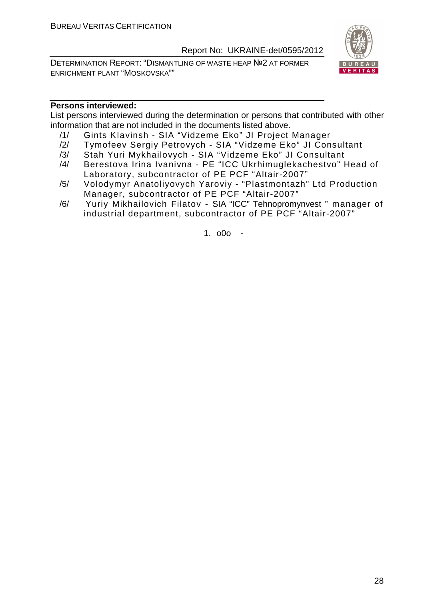DETERMINATION REPORT: "DISMANTLING OF WASTE HEAP №2 AT FORMER ENRICHMENT PLANT "MOSKOVSKA""



# **Persons interviewed:**

List persons interviewed during the determination or persons that contributed with other information that are not included in the documents listed above.

- /1/ Gints KIavinsh SIA "Vidzeme Eko" JI Project Manager
- /2/ Tymofeev Sergiy Petrovych SIA "Vidzeme Eko" JI Consultant
- /3/ Stah Yuri Mykhailovych SIA "Vidzeme Eko" JI Consultant
- /4/ Berestova Irina Ivanivna PE "ICC Ukrhimuglekachestvo" Head of Laboratory, subcontractor of PE PCF "Altair-2007"
- /5/ Volodymyr Anatoliyovych Yaroviy "Plastmontazh" Ltd Production Manager, subcontractor of PE PCF "Altair-2007"
- /6/ Yuriy Mikhailovich Filatov SIA "ICC" Tehnopromynvest " manager of industrial department, subcontractor of PE PCF "Altair-2007"

1. o0o -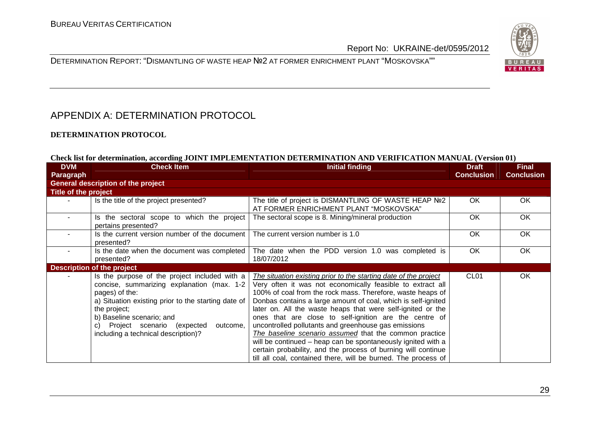



# APPENDIX A: DETERMINATION PROTOCOL

#### **DETERMINATION PROTOCOL**

#### **Check list for determination, according JOINT IMPLEMENTATION DETERMINATION AND VERIFICATION MANUAL (Version 01)**

| <b>DVM</b>           | <b>Check Item</b>                                                                                                                                                                                                                                                                                     | <b>Initial finding</b>                                                                                                                                                                                                                                                                                                                                                                                                                                                                                                                                                                                                                                                                                      | <b>Draft</b>      | <b>Final</b>      |
|----------------------|-------------------------------------------------------------------------------------------------------------------------------------------------------------------------------------------------------------------------------------------------------------------------------------------------------|-------------------------------------------------------------------------------------------------------------------------------------------------------------------------------------------------------------------------------------------------------------------------------------------------------------------------------------------------------------------------------------------------------------------------------------------------------------------------------------------------------------------------------------------------------------------------------------------------------------------------------------------------------------------------------------------------------------|-------------------|-------------------|
| <b>Paragraph</b>     |                                                                                                                                                                                                                                                                                                       |                                                                                                                                                                                                                                                                                                                                                                                                                                                                                                                                                                                                                                                                                                             | <b>Conclusion</b> | <b>Conclusion</b> |
|                      | <b>General description of the project</b>                                                                                                                                                                                                                                                             |                                                                                                                                                                                                                                                                                                                                                                                                                                                                                                                                                                                                                                                                                                             |                   |                   |
| Title of the project |                                                                                                                                                                                                                                                                                                       |                                                                                                                                                                                                                                                                                                                                                                                                                                                                                                                                                                                                                                                                                                             |                   |                   |
|                      | Is the title of the project presented?                                                                                                                                                                                                                                                                | The title of project is DISMANTLING OF WASTE HEAP Nº2<br>AT FORMER ENRICHMENT PLANT "MOSKOVSKA"                                                                                                                                                                                                                                                                                                                                                                                                                                                                                                                                                                                                             | OK.               | OK.               |
| $\sim$               | Is the sectoral scope to which the project<br>pertains presented?                                                                                                                                                                                                                                     | The sectoral scope is 8. Mining/mineral production                                                                                                                                                                                                                                                                                                                                                                                                                                                                                                                                                                                                                                                          | <b>OK</b>         | OK                |
| $\sim$               | Is the current version number of the document<br>presented?                                                                                                                                                                                                                                           | The current version number is 1.0                                                                                                                                                                                                                                                                                                                                                                                                                                                                                                                                                                                                                                                                           | OK.               | <b>OK</b>         |
|                      | Is the date when the document was completed<br>presented?                                                                                                                                                                                                                                             | The date when the PDD version 1.0 was completed is<br>18/07/2012                                                                                                                                                                                                                                                                                                                                                                                                                                                                                                                                                                                                                                            | <b>OK</b>         | OK                |
|                      | <b>Description of the project</b>                                                                                                                                                                                                                                                                     |                                                                                                                                                                                                                                                                                                                                                                                                                                                                                                                                                                                                                                                                                                             |                   |                   |
|                      | Is the purpose of the project included with a<br>concise, summarizing explanation (max. 1-2<br>pages) of the:<br>a) Situation existing prior to the starting date of<br>the project;<br>b) Baseline scenario; and<br>c) Project scenario (expected<br>outcome,<br>including a technical description)? | The situation existing prior to the starting date of the project<br>Very often it was not economically feasible to extract all<br>100% of coal from the rock mass. Therefore, waste heaps of<br>Donbas contains a large amount of coal, which is self-ignited<br>later on. All the waste heaps that were self-ignited or the<br>ones that are close to self-ignition are the centre of<br>uncontrolled pollutants and greenhouse gas emissions<br>The baseline scenario assumed that the common practice<br>will be continued – heap can be spontaneously ignited with a<br>certain probability, and the process of burning will continue<br>till all coal, contained there, will be burned. The process of | CL <sub>01</sub>  | OK.               |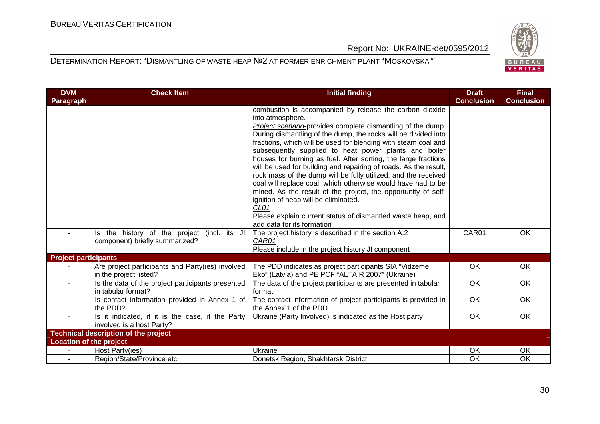

| <b>DVM</b>                     | <b>Check Item</b>                                                             | <b>Initial finding</b>                                                                                                                                                                                                                                                                                                                                                                                                                                                                                                                                                                                                                                                                                                                                                                                                                    | <b>Draft</b>      | <b>Final</b>      |
|--------------------------------|-------------------------------------------------------------------------------|-------------------------------------------------------------------------------------------------------------------------------------------------------------------------------------------------------------------------------------------------------------------------------------------------------------------------------------------------------------------------------------------------------------------------------------------------------------------------------------------------------------------------------------------------------------------------------------------------------------------------------------------------------------------------------------------------------------------------------------------------------------------------------------------------------------------------------------------|-------------------|-------------------|
| Paragraph                      |                                                                               |                                                                                                                                                                                                                                                                                                                                                                                                                                                                                                                                                                                                                                                                                                                                                                                                                                           | <b>Conclusion</b> | <b>Conclusion</b> |
|                                |                                                                               | combustion is accompanied by release the carbon dioxide<br>into atmosphere.<br>Project scenario-provides complete dismantling of the dump.<br>During dismantling of the dump, the rocks will be divided into<br>fractions, which will be used for blending with steam coal and<br>subsequently supplied to heat power plants and boiler<br>houses for burning as fuel. After sorting, the large fractions<br>will be used for building and repairing of roads. As the result,<br>rock mass of the dump will be fully utilized, and the received<br>coal will replace coal, which otherwise would have had to be<br>mined. As the result of the project, the opportunity of self-<br>ignition of heap will be eliminated.<br>CL <sub>01</sub><br>Please explain current status of dismantled waste heap, and<br>add data for its formation |                   |                   |
|                                | Is the history of the project (incl. its JI<br>component) briefly summarized? | The project history is described in the section A.2<br>CAR01<br>Please include in the project history JI component                                                                                                                                                                                                                                                                                                                                                                                                                                                                                                                                                                                                                                                                                                                        | CAR01             | <b>OK</b>         |
| <b>Project participants</b>    |                                                                               |                                                                                                                                                                                                                                                                                                                                                                                                                                                                                                                                                                                                                                                                                                                                                                                                                                           |                   |                   |
|                                | Are project participants and Party(ies) involved<br>in the project listed?    | The PDD indicates as project participants SIA "Vidzeme<br>Eko" (Latvia) and PE PCF "ALTAIR 2007" (Ukraine)                                                                                                                                                                                                                                                                                                                                                                                                                                                                                                                                                                                                                                                                                                                                | OK                | OK                |
|                                | Is the data of the project participants presented<br>in tabular format?       | The data of the project participants are presented in tabular<br>format                                                                                                                                                                                                                                                                                                                                                                                                                                                                                                                                                                                                                                                                                                                                                                   | OK                | OK                |
|                                | Is contact information provided in Annex 1 of<br>the PDD?                     | The contact information of project participants is provided in<br>the Annex 1 of the PDD                                                                                                                                                                                                                                                                                                                                                                                                                                                                                                                                                                                                                                                                                                                                                  | OK                | OK                |
|                                | Is it indicated, if it is the case, if the Party<br>involved is a host Party? | Ukraine (Party Involved) is indicated as the Host party                                                                                                                                                                                                                                                                                                                                                                                                                                                                                                                                                                                                                                                                                                                                                                                   | OK                | OK                |
|                                | <b>Technical description of the project</b>                                   |                                                                                                                                                                                                                                                                                                                                                                                                                                                                                                                                                                                                                                                                                                                                                                                                                                           |                   |                   |
| <b>Location of the project</b> |                                                                               |                                                                                                                                                                                                                                                                                                                                                                                                                                                                                                                                                                                                                                                                                                                                                                                                                                           |                   |                   |
|                                | Host Party(ies)                                                               | Ukraine                                                                                                                                                                                                                                                                                                                                                                                                                                                                                                                                                                                                                                                                                                                                                                                                                                   | 0K                | OK.               |
|                                | Region/State/Province etc.                                                    | Donetsk Region, Shakhtarsk District                                                                                                                                                                                                                                                                                                                                                                                                                                                                                                                                                                                                                                                                                                                                                                                                       | OK                | <b>OK</b>         |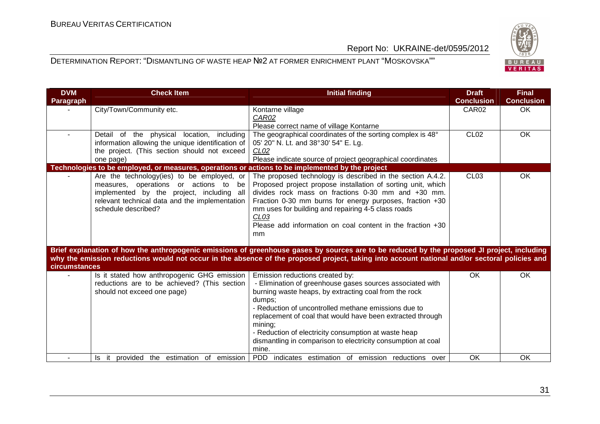

| <b>DVM</b><br>Paragraph | <b>Check Item</b>                                                                                                                                                                                                                                                                                                   | <b>Initial finding</b>                                                                                                                                                                                                                                                                                                                                                                                                            | <b>Draft</b><br><b>Conclusion</b> | <b>Final</b><br><b>Conclusion</b> |
|-------------------------|---------------------------------------------------------------------------------------------------------------------------------------------------------------------------------------------------------------------------------------------------------------------------------------------------------------------|-----------------------------------------------------------------------------------------------------------------------------------------------------------------------------------------------------------------------------------------------------------------------------------------------------------------------------------------------------------------------------------------------------------------------------------|-----------------------------------|-----------------------------------|
|                         | City/Town/Community etc.                                                                                                                                                                                                                                                                                            | Kontarne village<br>CAR02<br>Please correct name of village Kontarne                                                                                                                                                                                                                                                                                                                                                              | CAR02                             | OK                                |
|                         | Detail of the physical<br>location, including<br>information allowing the unique identification of<br>the project. (This section should not exceed<br>one page)                                                                                                                                                     | The geographical coordinates of the sorting complex is 48°<br>05' 20" N. Lt. and 38°30' 54" E. Lg.<br>CL <sub>02</sub><br>Please indicate source of project geographical coordinates                                                                                                                                                                                                                                              | <b>CL02</b>                       | OK                                |
|                         | Technologies to be employed, or measures, operations or actions to be implemented by the project<br>Are the technology(ies) to be employed, or<br>measures, operations<br>or actions to<br>be<br>implemented by the project, including all<br>relevant technical data and the implementation<br>schedule described? | The proposed technology is described in the section A.4.2.<br>Proposed project propose installation of sorting unit, which<br>divides rock mass on fractions 0-30 mm and +30 mm.<br>Fraction 0-30 mm burns for energy purposes, fraction +30<br>mm uses for building and repairing 4-5 class roads<br>CL <sub>03</sub><br>Please add information on coal content in the fraction $+30$<br>mm                                      | CL <sub>03</sub>                  | <b>OK</b>                         |
| circumstances           |                                                                                                                                                                                                                                                                                                                     | Brief explanation of how the anthropogenic emissions of greenhouse gases by sources are to be reduced by the proposed JI project, including<br>why the emission reductions would not occur in the absence of the proposed project, taking into account national and/or sectoral policies and                                                                                                                                      |                                   |                                   |
|                         | Is it stated how anthropogenic GHG emission<br>reductions are to be achieved? (This section<br>should not exceed one page)                                                                                                                                                                                          | Emission reductions created by:<br>- Elimination of greenhouse gases sources associated with<br>burning waste heaps, by extracting coal from the rock<br>dumps;<br>- Reduction of uncontrolled methane emissions due to<br>replacement of coal that would have been extracted through<br>mining;<br>- Reduction of electricity consumption at waste heap<br>dismantling in comparison to electricity consumption at coal<br>mine. | OK                                | <b>OK</b>                         |
|                         | provided the estimation of<br>emission<br>Is it                                                                                                                                                                                                                                                                     | PDD indicates estimation of emission reductions over                                                                                                                                                                                                                                                                                                                                                                              | OK                                | OK                                |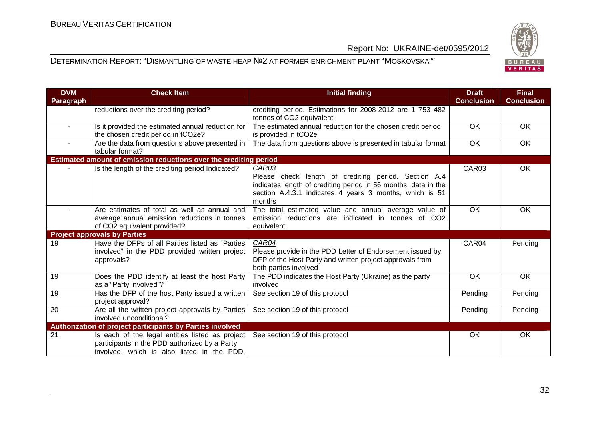

| <b>DVM</b><br>Paragraph | <b>Check Item</b>                                                                                                                              | <b>Initial finding</b>                                                                                                                                                                               | <b>Draft</b><br><b>Conclusion</b> | <b>Final</b><br><b>Conclusion</b> |
|-------------------------|------------------------------------------------------------------------------------------------------------------------------------------------|------------------------------------------------------------------------------------------------------------------------------------------------------------------------------------------------------|-----------------------------------|-----------------------------------|
|                         | reductions over the crediting period?                                                                                                          | crediting period. Estimations for 2008-2012 are 1 753 482<br>tonnes of CO2 equivalent                                                                                                                |                                   |                                   |
| $\blacksquare$          | Is it provided the estimated annual reduction for<br>the chosen credit period in tCO2e?                                                        | The estimated annual reduction for the chosen credit period<br>is provided in tCO2e                                                                                                                  | $\overline{OK}$                   | <b>OK</b>                         |
| $\sim$                  | Are the data from questions above presented in<br>tabular format?                                                                              | The data from questions above is presented in tabular format                                                                                                                                         | OK                                | OK                                |
|                         | Estimated amount of emission reductions over the crediting period                                                                              |                                                                                                                                                                                                      |                                   |                                   |
|                         | Is the length of the crediting period Indicated?                                                                                               | CAR03<br>Please check length of crediting period. Section A.4<br>indicates length of crediting period in 56 months, data in the<br>section A.4.3.1 indicates 4 years 3 months, which is 51<br>months | CAR03                             | OK                                |
|                         | Are estimates of total as well as annual and<br>average annual emission reductions in tonnes<br>of CO2 equivalent provided?                    | The total estimated value and annual average value of<br>emission reductions are indicated in tonnes of CO2<br>equivalent                                                                            | OK                                | <b>OK</b>                         |
|                         | <b>Project approvals by Parties</b>                                                                                                            |                                                                                                                                                                                                      |                                   |                                   |
| 19                      | Have the DFPs of all Parties listed as "Parties<br>involved" in the PDD provided written project<br>approvals?                                 | CAR04<br>Please provide in the PDD Letter of Endorsement issued by<br>DFP of the Host Party and written project approvals from<br>both parties involved                                              | CAR04                             | Pending                           |
| 19                      | Does the PDD identify at least the host Party<br>as a "Party involved"?                                                                        | The PDD indicates the Host Party (Ukraine) as the party<br>involved                                                                                                                                  | OK                                | OK                                |
| 19                      | Has the DFP of the host Party issued a written<br>project approval?                                                                            | See section 19 of this protocol                                                                                                                                                                      | Pending                           | Pending                           |
| 20                      | Are all the written project approvals by Parties<br>involved unconditional?                                                                    | See section 19 of this protocol                                                                                                                                                                      | Pending                           | Pending                           |
|                         | Authorization of project participants by Parties involved                                                                                      |                                                                                                                                                                                                      |                                   |                                   |
| 21                      | Is each of the legal entities listed as project<br>participants in the PDD authorized by a Party<br>involved, which is also listed in the PDD, | See section 19 of this protocol                                                                                                                                                                      | OK                                | OK                                |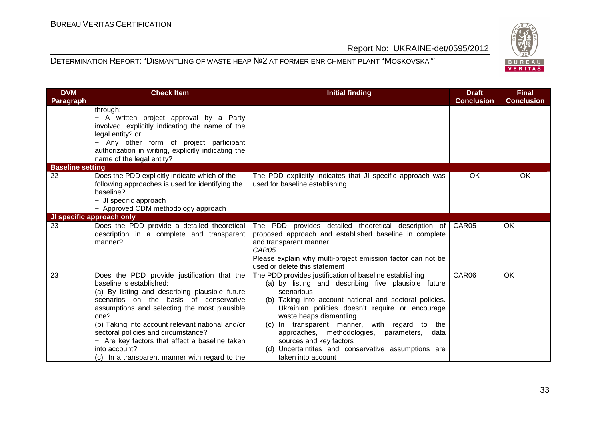

| <b>DVM</b><br>Paragraph | <b>Check Item</b>                                                                                                                                                                                                                                                                                                                                                                                                                           | <b>Initial finding</b>                                                                                                                                                                                                                                                                                                                                                                                                                                                           | <b>Draft</b><br><b>Conclusion</b> | <b>Final</b><br><b>Conclusion</b> |
|-------------------------|---------------------------------------------------------------------------------------------------------------------------------------------------------------------------------------------------------------------------------------------------------------------------------------------------------------------------------------------------------------------------------------------------------------------------------------------|----------------------------------------------------------------------------------------------------------------------------------------------------------------------------------------------------------------------------------------------------------------------------------------------------------------------------------------------------------------------------------------------------------------------------------------------------------------------------------|-----------------------------------|-----------------------------------|
|                         | through:<br>- A written project approval by a Party<br>involved, explicitly indicating the name of the<br>legal entity? or<br>- Any other form of project participant<br>authorization in writing, explicitly indicating the<br>name of the legal entity?                                                                                                                                                                                   |                                                                                                                                                                                                                                                                                                                                                                                                                                                                                  |                                   |                                   |
| <b>Baseline setting</b> |                                                                                                                                                                                                                                                                                                                                                                                                                                             |                                                                                                                                                                                                                                                                                                                                                                                                                                                                                  |                                   |                                   |
| 22                      | Does the PDD explicitly indicate which of the<br>following approaches is used for identifying the<br>baseline?<br>- JI specific approach<br>- Approved CDM methodology approach                                                                                                                                                                                                                                                             | The PDD explicitly indicates that JI specific approach was<br>used for baseline establishing                                                                                                                                                                                                                                                                                                                                                                                     | OK                                | <b>OK</b>                         |
|                         | JI specific approach only                                                                                                                                                                                                                                                                                                                                                                                                                   |                                                                                                                                                                                                                                                                                                                                                                                                                                                                                  |                                   |                                   |
| 23                      | Does the PDD provide a detailed theoretical<br>description in a complete and transparent<br>manner?                                                                                                                                                                                                                                                                                                                                         | The PDD provides detailed theoretical description of<br>proposed approach and established baseline in complete<br>and transparent manner<br>CAR05<br>Please explain why multi-project emission factor can not be<br>used or delete this statement                                                                                                                                                                                                                                | CAR05                             | OK                                |
| 23                      | Does the PDD provide justification that the<br>baseline is established:<br>(a) By listing and describing plausible future<br>scenarios on the basis of conservative<br>assumptions and selecting the most plausible<br>one?<br>(b) Taking into account relevant national and/or<br>sectoral policies and circumstance?<br>- Are key factors that affect a baseline taken<br>into account?<br>(c) In a transparent manner with regard to the | The PDD provides justification of baseline establishing<br>(a) by listing and describing five plausible future<br>scenarious<br>(b) Taking into account national and sectoral policies.<br>Ukrainian policies doesn't require or encourage<br>waste heaps dismantling<br>(c) In transparent manner, with regard to the<br>approaches, methodologies, parameters,<br>data<br>sources and key factors<br>(d) Uncertaintites and conservative assumptions are<br>taken into account | CAR06                             | <b>OK</b>                         |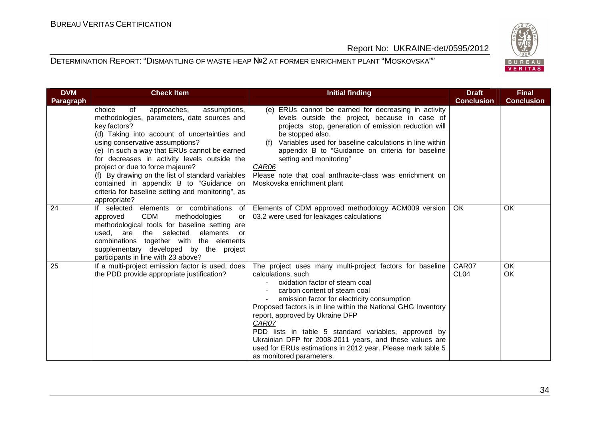

| <b>DVM</b><br>Paragraph | <b>Check Item</b>                                                                                                                                                                                                                                                                                                                                                                                                                                                                                     | <b>Initial finding</b>                                                                                                                                                                                                                                                                                                                                                                                                                                                                                                     | <b>Draft</b><br><b>Conclusion</b> | <b>Final</b><br><b>Conclusion</b> |
|-------------------------|-------------------------------------------------------------------------------------------------------------------------------------------------------------------------------------------------------------------------------------------------------------------------------------------------------------------------------------------------------------------------------------------------------------------------------------------------------------------------------------------------------|----------------------------------------------------------------------------------------------------------------------------------------------------------------------------------------------------------------------------------------------------------------------------------------------------------------------------------------------------------------------------------------------------------------------------------------------------------------------------------------------------------------------------|-----------------------------------|-----------------------------------|
|                         | choice<br>approaches,<br>of<br>assumptions,<br>methodologies, parameters, date sources and<br>key factors?<br>(d) Taking into account of uncertainties and<br>using conservative assumptions?<br>(e) In such a way that ERUs cannot be earned<br>for decreases in activity levels outside the<br>project or due to force majeure?<br>(f) By drawing on the list of standard variables<br>contained in appendix B to "Guidance on<br>criteria for baseline setting and monitoring", as<br>appropriate? | (e) ERUs cannot be earned for decreasing in activity<br>levels outside the project, because in case of<br>projects stop, generation of emission reduction will<br>be stopped also.<br>Variables used for baseline calculations in line within<br>(f)<br>appendix B to "Guidance on criteria for baseline<br>setting and monitoring"<br>CAR06<br>Please note that coal anthracite-class was enrichment on<br>Moskovska enrichment plant                                                                                     |                                   |                                   |
| 24                      | If selected<br>elements or combinations<br>of<br>CDM<br>methodologies<br>approved<br>or<br>methodological tools for baseline setting are<br>the selected<br>elements<br>used.<br>are<br>or<br>combinations together with the elements<br>supplementary developed by the project<br>participants in line with 23 above?                                                                                                                                                                                | Elements of CDM approved methodology ACM009 version<br>03.2 were used for leakages calculations                                                                                                                                                                                                                                                                                                                                                                                                                            | OK                                | OK                                |
| 25                      | If a multi-project emission factor is used, does<br>the PDD provide appropriate justification?                                                                                                                                                                                                                                                                                                                                                                                                        | The project uses many multi-project factors for baseline<br>calculations, such<br>oxidation factor of steam coal<br>carbon content of steam coal<br>emission factor for electricity consumption<br>Proposed factors is in line within the National GHG Inventory<br>report, approved by Ukraine DFP<br>CAR07<br>PDD lists in table 5 standard variables, approved by<br>Ukrainian DFP for 2008-2011 years, and these values are<br>used for ERUs estimations in 2012 year. Please mark table 5<br>as monitored parameters. | CAR07<br>CL <sub>04</sub>         | OK<br>OK                          |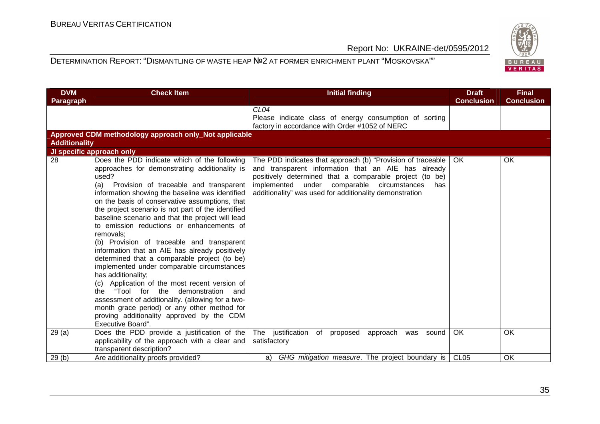

| <b>DVM</b><br>Paragraph | <b>Check Item</b>                                                                                                                                                                                                                                                                                                                                                                                                                                                                                                                                                                                                                                                                                                                                                                                                                                                                                                     | <b>Initial finding</b>                                                                                                                                                                                                                                                                        | <b>Draft</b><br><b>Conclusion</b> | <b>Final</b><br><b>Conclusion</b> |
|-------------------------|-----------------------------------------------------------------------------------------------------------------------------------------------------------------------------------------------------------------------------------------------------------------------------------------------------------------------------------------------------------------------------------------------------------------------------------------------------------------------------------------------------------------------------------------------------------------------------------------------------------------------------------------------------------------------------------------------------------------------------------------------------------------------------------------------------------------------------------------------------------------------------------------------------------------------|-----------------------------------------------------------------------------------------------------------------------------------------------------------------------------------------------------------------------------------------------------------------------------------------------|-----------------------------------|-----------------------------------|
|                         |                                                                                                                                                                                                                                                                                                                                                                                                                                                                                                                                                                                                                                                                                                                                                                                                                                                                                                                       | CL <sub>04</sub><br>Please indicate class of energy consumption of sorting<br>factory in accordance with Order #1052 of NERC                                                                                                                                                                  |                                   |                                   |
|                         | Approved CDM methodology approach only_Not applicable                                                                                                                                                                                                                                                                                                                                                                                                                                                                                                                                                                                                                                                                                                                                                                                                                                                                 |                                                                                                                                                                                                                                                                                               |                                   |                                   |
| <b>Additionality</b>    |                                                                                                                                                                                                                                                                                                                                                                                                                                                                                                                                                                                                                                                                                                                                                                                                                                                                                                                       |                                                                                                                                                                                                                                                                                               |                                   |                                   |
|                         | JI specific approach only                                                                                                                                                                                                                                                                                                                                                                                                                                                                                                                                                                                                                                                                                                                                                                                                                                                                                             |                                                                                                                                                                                                                                                                                               |                                   |                                   |
| 28                      | Does the PDD indicate which of the following<br>approaches for demonstrating additionality is<br>used?<br>Provision of traceable and transparent<br>(a)<br>information showing the baseline was identified<br>on the basis of conservative assumptions, that<br>the project scenario is not part of the identified<br>baseline scenario and that the project will lead<br>to emission reductions or enhancements of<br>removals;<br>(b) Provision of traceable and transparent<br>information that an AIE has already positively<br>determined that a comparable project (to be)<br>implemented under comparable circumstances<br>has additionality;<br>(c) Application of the most recent version of<br>the "Tool for the demonstration<br>and<br>assessment of additionality. (allowing for a two-<br>month grace period) or any other method for<br>proving additionality approved by the CDM<br>Executive Board". | The PDD indicates that approach (b) "Provision of traceable<br>and transparent information that an AIE has already<br>positively determined that a comparable project (to be)<br>implemented under comparable circumstances<br>has<br>additionality" was used for additionality demonstration | OK.                               | OK                                |
| 29(a)                   | Does the PDD provide a justification of the                                                                                                                                                                                                                                                                                                                                                                                                                                                                                                                                                                                                                                                                                                                                                                                                                                                                           | The justification of proposed<br>approach was sound                                                                                                                                                                                                                                           | OK                                | OK                                |
|                         | applicability of the approach with a clear and<br>transparent description?                                                                                                                                                                                                                                                                                                                                                                                                                                                                                                                                                                                                                                                                                                                                                                                                                                            | satisfactory                                                                                                                                                                                                                                                                                  |                                   |                                   |
| 29(b)                   | Are additionality proofs provided?                                                                                                                                                                                                                                                                                                                                                                                                                                                                                                                                                                                                                                                                                                                                                                                                                                                                                    | GHG mitigation measure. The project boundary is<br>a)                                                                                                                                                                                                                                         | CL <sub>05</sub>                  | OK                                |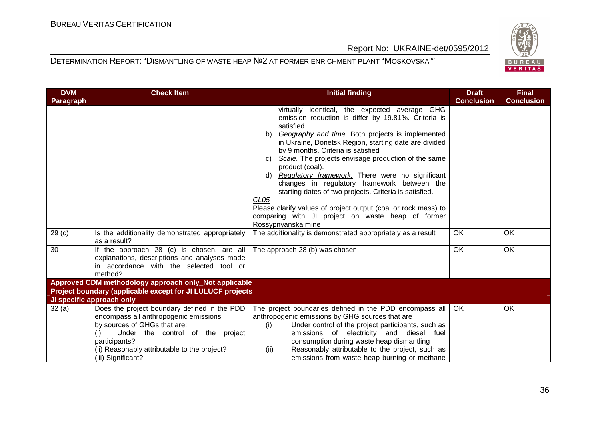

| <b>DVM</b>        | <b>Check Item</b>                                                                                                                                                                                                                                       | <b>Initial finding</b>                                                                                                                                                                                                                                                                                                                                                                                                                                                                                                                                                                                                                                                  | <b>Draft</b>      | <b>Final</b>      |
|-------------------|---------------------------------------------------------------------------------------------------------------------------------------------------------------------------------------------------------------------------------------------------------|-------------------------------------------------------------------------------------------------------------------------------------------------------------------------------------------------------------------------------------------------------------------------------------------------------------------------------------------------------------------------------------------------------------------------------------------------------------------------------------------------------------------------------------------------------------------------------------------------------------------------------------------------------------------------|-------------------|-------------------|
| <b>Paragraph</b>  |                                                                                                                                                                                                                                                         |                                                                                                                                                                                                                                                                                                                                                                                                                                                                                                                                                                                                                                                                         | <b>Conclusion</b> | <b>Conclusion</b> |
|                   |                                                                                                                                                                                                                                                         | virtually identical, the expected average GHG<br>emission reduction is differ by 19.81%. Criteria is<br>satisfied<br>Geography and time. Both projects is implemented<br>b)<br>in Ukraine, Donetsk Region, starting date are divided<br>by 9 months. Criteria is satisfied<br>Scale. The projects envisage production of the same<br>C)<br>product (coal).<br>Regulatory framework. There were no significant<br>d)<br>changes in regulatory framework between the<br>starting dates of two projects. Criteria is satisfied.<br>CL <sub>05</sub><br>Please clarify values of project output (coal or rock mass) to<br>comparing with JI project on waste heap of former |                   |                   |
|                   |                                                                                                                                                                                                                                                         | Rossypnyanska mine                                                                                                                                                                                                                                                                                                                                                                                                                                                                                                                                                                                                                                                      |                   |                   |
| 29 <sub>(c)</sub> | Is the additionality demonstrated appropriately<br>as a result?                                                                                                                                                                                         | The additionality is demonstrated appropriately as a result                                                                                                                                                                                                                                                                                                                                                                                                                                                                                                                                                                                                             | <b>OK</b>         | OK                |
| 30                | If the approach 28 (c) is chosen, are all<br>explanations, descriptions and analyses made<br>in accordance with the selected tool or<br>method?                                                                                                         | The approach 28 (b) was chosen                                                                                                                                                                                                                                                                                                                                                                                                                                                                                                                                                                                                                                          | OK                | OK                |
|                   | Approved CDM methodology approach only_Not applicable                                                                                                                                                                                                   |                                                                                                                                                                                                                                                                                                                                                                                                                                                                                                                                                                                                                                                                         |                   |                   |
|                   | Project boundary (applicable except for JI LULUCF projects                                                                                                                                                                                              |                                                                                                                                                                                                                                                                                                                                                                                                                                                                                                                                                                                                                                                                         |                   |                   |
|                   | JI specific approach only                                                                                                                                                                                                                               |                                                                                                                                                                                                                                                                                                                                                                                                                                                                                                                                                                                                                                                                         |                   |                   |
| 32(a)             | Does the project boundary defined in the PDD<br>encompass all anthropogenic emissions<br>by sources of GHGs that are:<br>Under the control of the project<br>(i)<br>participants?<br>(ii) Reasonably attributable to the project?<br>(iii) Significant? | The project boundaries defined in the PDD encompass all<br>anthropogenic emissions by GHG sources that are<br>Under control of the project participants, such as<br>(i)<br>emissions of electricity and diesel fuel<br>consumption during waste heap dismantling<br>Reasonably attributable to the project, such as<br>(ii)<br>emissions from waste heap burning or methane                                                                                                                                                                                                                                                                                             | OK                | OK                |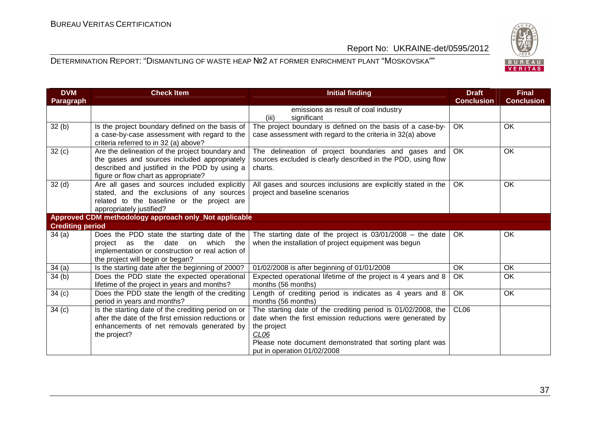

| <b>DVM</b>              | <b>Check Item</b>                                                                                                                                                                        | <b>Initial finding</b>                                                                                                                                                                                                                                  | <b>Draft</b>      | <b>Final</b>      |
|-------------------------|------------------------------------------------------------------------------------------------------------------------------------------------------------------------------------------|---------------------------------------------------------------------------------------------------------------------------------------------------------------------------------------------------------------------------------------------------------|-------------------|-------------------|
| Paragraph               |                                                                                                                                                                                          |                                                                                                                                                                                                                                                         | <b>Conclusion</b> | <b>Conclusion</b> |
|                         |                                                                                                                                                                                          | emissions as result of coal industry<br>(iii)<br>significant                                                                                                                                                                                            |                   |                   |
| 32(b)                   | Is the project boundary defined on the basis of<br>a case-by-case assessment with regard to the<br>criteria referred to in 32 (a) above?                                                 | The project boundary is defined on the basis of a case-by-<br>case assessment with regard to the criteria in 32(a) above                                                                                                                                | <b>OK</b>         | <b>OK</b>         |
| 32(c)                   | Are the delineation of the project boundary and<br>the gases and sources included appropriately<br>described and justified in the PDD by using a<br>figure or flow chart as appropriate? | The delineation of project boundaries and gases and<br>sources excluded is clearly described in the PDD, using flow<br>charts.                                                                                                                          | <b>OK</b>         | OK                |
| 32 <sub>(d)</sub>       | Are all gases and sources included explicitly<br>stated, and the exclusions of any sources<br>related to the baseline or the project are<br>appropriately justified?                     | All gases and sources inclusions are explicitly stated in the<br>project and baseline scenarios                                                                                                                                                         | OK                | OK                |
|                         | Approved CDM methodology approach only_Not applicable                                                                                                                                    |                                                                                                                                                                                                                                                         |                   |                   |
| <b>Crediting period</b> |                                                                                                                                                                                          |                                                                                                                                                                                                                                                         |                   |                   |
| 34(a)                   | Does the PDD state the starting date of the<br>project as the date on which the<br>implementation or construction or real action of<br>the project will begin or began?                  | The starting date of the project is $03/01/2008$ – the date<br>when the installation of project equipment was begun                                                                                                                                     | <b>OK</b>         | OK                |
| 34(a)                   | Is the starting date after the beginning of 2000?                                                                                                                                        | 01/02/2008 is after beginning of 01/01/2008                                                                                                                                                                                                             | OK                | OK                |
| 34 (b)                  | Does the PDD state the expected operational<br>lifetime of the project in years and months?                                                                                              | Expected operational lifetime of the project is 4 years and 8<br>months (56 months)                                                                                                                                                                     | OK                | OK                |
| 34 <sub>(c)</sub>       | Does the PDD state the length of the crediting<br>period in years and months?                                                                                                            | Length of crediting period is indicates as 4 years and 8<br>months (56 months)                                                                                                                                                                          | OK                | OK                |
| 34(c)                   | Is the starting date of the crediting period on or<br>after the date of the first emission reductions or<br>enhancements of net removals generated by<br>the project?                    | The starting date of the crediting period is 01/02/2008, the<br>date when the first emission reductions were generated by<br>the project<br>CL <sub>06</sub><br>Please note document demonstrated that sorting plant was<br>put in operation 01/02/2008 | CL06              |                   |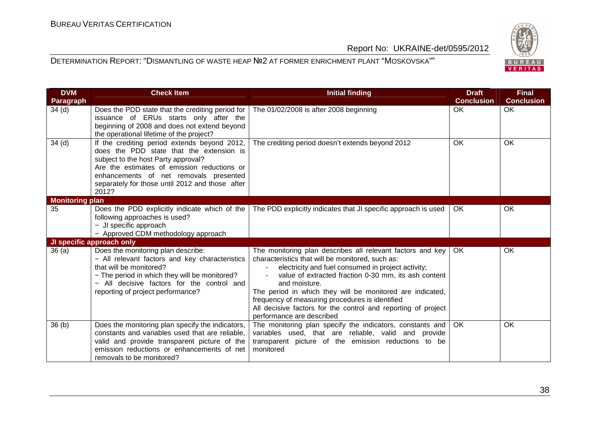

| <b>DVM</b><br>Paragraph | <b>Check Item</b>                                                                                                                                                                                                                                                                    | <b>Initial finding</b>                                                                                                                                                                                                                                                                                                                                                                                                                                      | <b>Draft</b><br><b>Conclusion</b> | <b>Final</b><br><b>Conclusion</b> |
|-------------------------|--------------------------------------------------------------------------------------------------------------------------------------------------------------------------------------------------------------------------------------------------------------------------------------|-------------------------------------------------------------------------------------------------------------------------------------------------------------------------------------------------------------------------------------------------------------------------------------------------------------------------------------------------------------------------------------------------------------------------------------------------------------|-----------------------------------|-----------------------------------|
| 34 <sub>(d)</sub>       | Does the PDD state that the crediting period for<br>issuance of ERUs starts only after the<br>beginning of 2008 and does not extend beyond<br>the operational lifetime of the project?                                                                                               | The 01/02/2008 is after 2008 beginning                                                                                                                                                                                                                                                                                                                                                                                                                      | <b>OK</b>                         | OK                                |
| 34 <sub>(d)</sub>       | If the crediting period extends beyond 2012,<br>does the PDD state that the extension is<br>subject to the host Party approval?<br>Are the estimates of emission reductions or<br>enhancements of net removals presented<br>separately for those until 2012 and those after<br>2012? | The crediting period doesn't extends beyond 2012                                                                                                                                                                                                                                                                                                                                                                                                            | OK                                | OK                                |
| <b>Monitoring plan</b>  |                                                                                                                                                                                                                                                                                      |                                                                                                                                                                                                                                                                                                                                                                                                                                                             |                                   |                                   |
| 35                      | Does the PDD explicitly indicate which of the<br>following approaches is used?<br>- JI specific approach<br>- Approved CDM methodology approach                                                                                                                                      | The PDD explicitly indicates that JI specific approach is used                                                                                                                                                                                                                                                                                                                                                                                              | OK                                | OK                                |
|                         | JI specific approach only                                                                                                                                                                                                                                                            |                                                                                                                                                                                                                                                                                                                                                                                                                                                             |                                   |                                   |
| 36(a)                   | Does the monitoring plan describe:<br>- All relevant factors and key characteristics<br>that will be monitored?<br>- The period in which they will be monitored?<br>- All decisive factors for the control and<br>reporting of project performance?                                  | The monitoring plan describes all relevant factors and key<br>characteristics that will be monitored, such as:<br>electricity and fuel consumed in project activity;<br>value of extracted fraction 0-30 mm, its ash content<br>and moisture.<br>The period in which they will be monitored are indicated,<br>frequency of measuring procedures is identified<br>All decisive factors for the control and reporting of project<br>performance are described | OK                                | OK                                |
| 36(b)                   | Does the monitoring plan specify the indicators,<br>constants and variables used that are reliable.<br>valid and provide transparent picture of the<br>emission reductions or enhancements of net<br>removals to be monitored?                                                       | The monitoring plan specify the indicators, constants and<br>variables used, that are reliable, valid and provide<br>transparent picture of the emission reductions to be<br>monitored                                                                                                                                                                                                                                                                      | OK                                | OK                                |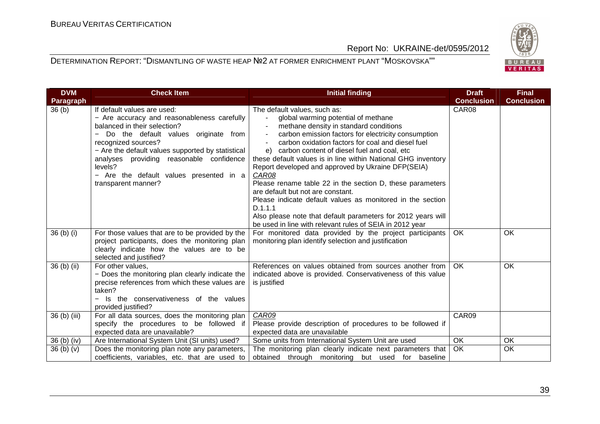

| <b>DVM</b><br><b>Paragraph</b> | <b>Check Item</b>                                                                                                                                                                                                                                                                                                                                       | <b>Initial finding</b>                                                                                                                                                                                                                                                                                                                                                                                                                                                                                                                                                                                                                                                                                                | <b>Draft</b><br><b>Conclusion</b> | <b>Final</b><br><b>Conclusion</b> |
|--------------------------------|---------------------------------------------------------------------------------------------------------------------------------------------------------------------------------------------------------------------------------------------------------------------------------------------------------------------------------------------------------|-----------------------------------------------------------------------------------------------------------------------------------------------------------------------------------------------------------------------------------------------------------------------------------------------------------------------------------------------------------------------------------------------------------------------------------------------------------------------------------------------------------------------------------------------------------------------------------------------------------------------------------------------------------------------------------------------------------------------|-----------------------------------|-----------------------------------|
| 36(b)                          | If default values are used:<br>- Are accuracy and reasonableness carefully<br>balanced in their selection?<br>Do the default values originate from<br>recognized sources?<br>- Are the default values supported by statistical<br>analyses providing reasonable confidence<br>levels?<br>- Are the default values presented in a<br>transparent manner? | The default values, such as:<br>global warming potential of methane<br>methane density in standard conditions<br>carbon emission factors for electricity consumption<br>carbon oxidation factors for coal and diesel fuel<br>carbon content of diesel fuel and coal, etc<br>e)<br>these default values is in line within National GHG inventory<br>Report developed and approved by Ukraine DFP(SEIA)<br>CAR08<br>Please rename table 22 in the section D, these parameters<br>are default but not are constant.<br>Please indicate default values as monitored in the section<br>D.1.1.1<br>Also please note that default parameters for 2012 years will<br>be used in line with relevant rules of SEIA in 2012 year | CAR08                             |                                   |
| 36(b) (i)                      | For those values that are to be provided by the<br>project participants, does the monitoring plan<br>clearly indicate how the values are to be<br>selected and justified?                                                                                                                                                                               | For monitored data provided by the project participants<br>monitoring plan identify selection and justification                                                                                                                                                                                                                                                                                                                                                                                                                                                                                                                                                                                                       | OK                                | <b>OK</b>                         |
| 36 (b) (ii)                    | For other values,<br>- Does the monitoring plan clearly indicate the<br>precise references from which these values are<br>taken?<br>Is the conservativeness of the values<br>provided justified?                                                                                                                                                        | References on values obtained from sources another from<br>indicated above is provided. Conservativeness of this value<br>is justified                                                                                                                                                                                                                                                                                                                                                                                                                                                                                                                                                                                | <b>OK</b>                         | OK                                |
| 36 (b) (iii)                   | For all data sources, does the monitoring plan<br>specify the procedures to be followed if<br>expected data are unavailable?                                                                                                                                                                                                                            | CAR09<br>Please provide description of procedures to be followed if<br>expected data are unavailable                                                                                                                                                                                                                                                                                                                                                                                                                                                                                                                                                                                                                  | CAR09                             |                                   |
| $36$ (b) (iv)                  | Are International System Unit (SI units) used?                                                                                                                                                                                                                                                                                                          | Some units from International System Unit are used                                                                                                                                                                                                                                                                                                                                                                                                                                                                                                                                                                                                                                                                    | OK                                | OK                                |
| 36(b)(v)                       | Does the monitoring plan note any parameters,<br>coefficients, variables, etc. that are used to                                                                                                                                                                                                                                                         | The monitoring plan clearly indicate next parameters that<br>obtained through monitoring but used for baseline                                                                                                                                                                                                                                                                                                                                                                                                                                                                                                                                                                                                        | OK.                               | OK                                |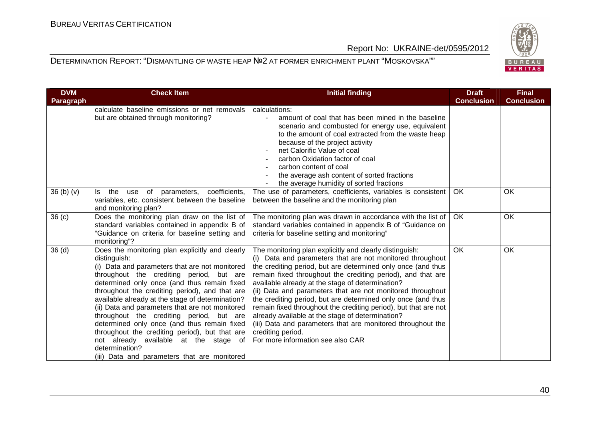

| <b>DVM</b>                       | <b>Check Item</b>                                                                                                                                                                                                                                                                                                                                                                                                                                                                                                                                                                                                             | <b>Initial finding</b>                                                                                                                                                                                                                                                                                                                                                                                                                                                                                                                                                                                                                                                                | <b>Draft</b><br><b>Conclusion</b> | <b>Final</b><br><b>Conclusion</b> |
|----------------------------------|-------------------------------------------------------------------------------------------------------------------------------------------------------------------------------------------------------------------------------------------------------------------------------------------------------------------------------------------------------------------------------------------------------------------------------------------------------------------------------------------------------------------------------------------------------------------------------------------------------------------------------|---------------------------------------------------------------------------------------------------------------------------------------------------------------------------------------------------------------------------------------------------------------------------------------------------------------------------------------------------------------------------------------------------------------------------------------------------------------------------------------------------------------------------------------------------------------------------------------------------------------------------------------------------------------------------------------|-----------------------------------|-----------------------------------|
| Paragraph                        | calculate baseline emissions or net removals                                                                                                                                                                                                                                                                                                                                                                                                                                                                                                                                                                                  | calculations:                                                                                                                                                                                                                                                                                                                                                                                                                                                                                                                                                                                                                                                                         |                                   |                                   |
|                                  | but are obtained through monitoring?                                                                                                                                                                                                                                                                                                                                                                                                                                                                                                                                                                                          | amount of coal that has been mined in the baseline<br>scenario and combusted for energy use, equivalent<br>to the amount of coal extracted from the waste heap<br>because of the project activity<br>net Calorific Value of coal<br>carbon Oxidation factor of coal<br>carbon content of coal<br>the average ash content of sorted fractions<br>the average humidity of sorted fractions                                                                                                                                                                                                                                                                                              |                                   |                                   |
| 36 <sub>(b)</sub> <sub>(v)</sub> | the use of parameters, coefficients,<br>ls.<br>variables, etc. consistent between the baseline<br>and monitoring plan?                                                                                                                                                                                                                                                                                                                                                                                                                                                                                                        | The use of parameters, coefficients, variables is consistent<br>between the baseline and the monitoring plan                                                                                                                                                                                                                                                                                                                                                                                                                                                                                                                                                                          | OK.                               | OK                                |
| 36 <sub>(c)</sub>                | Does the monitoring plan draw on the list of<br>standard variables contained in appendix B of<br>"Guidance on criteria for baseline setting and<br>monitoring"?                                                                                                                                                                                                                                                                                                                                                                                                                                                               | The monitoring plan was drawn in accordance with the list of<br>standard variables contained in appendix B of "Guidance on<br>criteria for baseline setting and monitoring"                                                                                                                                                                                                                                                                                                                                                                                                                                                                                                           | OK                                | OK                                |
| 36 <sub>(d)</sub>                | Does the monitoring plan explicitly and clearly<br>distinguish:<br>(i) Data and parameters that are not monitored<br>throughout the crediting period, but are<br>determined only once (and thus remain fixed<br>throughout the crediting period), and that are<br>available already at the stage of determination?<br>(ii) Data and parameters that are not monitored<br>throughout the crediting period, but are<br>determined only once (and thus remain fixed<br>throughout the crediting period), but that are<br>not already available at the stage of<br>determination?<br>(iii) Data and parameters that are monitored | The monitoring plan explicitly and clearly distinguish:<br>(i) Data and parameters that are not monitored throughout<br>the crediting period, but are determined only once (and thus<br>remain fixed throughout the crediting period), and that are<br>available already at the stage of determination?<br>(ii) Data and parameters that are not monitored throughout<br>the crediting period, but are determined only once (and thus<br>remain fixed throughout the crediting period), but that are not<br>already available at the stage of determination?<br>(iii) Data and parameters that are monitored throughout the<br>crediting period.<br>For more information see also CAR | <b>OK</b>                         | OK                                |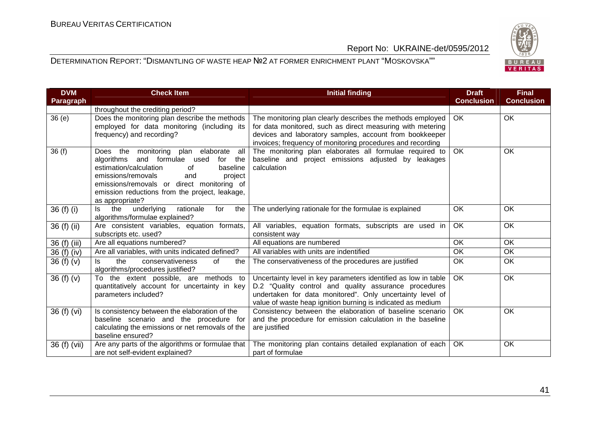BUREAU<br>VERITAS

Report No: UKRAINE-det/0595/2012

| <b>DVM</b><br>Paragraph | <b>Check Item</b>                                                                                                                                                                                                                                                                                    | <b>Initial finding</b>                                                                                                                                                                                                                              | <b>Draft</b><br><b>Conclusion</b> | <b>Final</b><br><b>Conclusion</b> |
|-------------------------|------------------------------------------------------------------------------------------------------------------------------------------------------------------------------------------------------------------------------------------------------------------------------------------------------|-----------------------------------------------------------------------------------------------------------------------------------------------------------------------------------------------------------------------------------------------------|-----------------------------------|-----------------------------------|
|                         | throughout the crediting period?                                                                                                                                                                                                                                                                     |                                                                                                                                                                                                                                                     |                                   |                                   |
| 36(e)                   | Does the monitoring plan describe the methods<br>employed for data monitoring (including its<br>frequency) and recording?                                                                                                                                                                            | The monitoring plan clearly describes the methods employed<br>for data monitored, such as direct measuring with metering<br>devices and laboratory samples, account from bookkeeper<br>invoices; frequency of monitoring procedures and recording   | OK                                | OK                                |
| 36(f)                   | Does the<br>monitoring plan elaborate<br>all<br>and formulae used<br>algorithms<br>for<br>the<br>estimation/calculation<br>0f<br>baseline<br>emissions/removals<br>project<br>and<br>emissions/removals or direct monitoring of<br>emission reductions from the project, leakage,<br>as appropriate? | The monitoring plan elaborates all formulae required to<br>baseline and project emissions adjusted by leakages<br>calculation                                                                                                                       | OK                                | OK                                |
| 36 (f) (i)              | the<br>underlying<br>rationale<br>for<br>the<br>ls.<br>algorithms/formulae explained?                                                                                                                                                                                                                | The underlying rationale for the formulae is explained                                                                                                                                                                                              | OK                                | OK                                |
| 36 (f) (ii)             | Are consistent variables, equation formats,<br>subscripts etc. used?                                                                                                                                                                                                                                 | All variables, equation formats, subscripts are used in<br>consistent way                                                                                                                                                                           | OK                                | OK                                |
| 36 (f) (iii)            | Are all equations numbered?                                                                                                                                                                                                                                                                          | All equations are numbered                                                                                                                                                                                                                          | OK                                | OK                                |
| 36 (f) (iv)             | Are all variables, with units indicated defined?                                                                                                                                                                                                                                                     | All variables with units are indentified                                                                                                                                                                                                            | $\overline{OK}$                   | OK                                |
| 36(f)(v)                | the<br>of<br>ls.<br>conservativeness<br>the<br>algorithms/procedures justified?                                                                                                                                                                                                                      | The conservativeness of the procedures are justified                                                                                                                                                                                                | OK                                | OK                                |
| 36(f)(v)                | To the extent possible, are methods to<br>quantitatively account for uncertainty in key<br>parameters included?                                                                                                                                                                                      | Uncertainty level in key parameters identified as low in table<br>D.2 "Quality control and quality assurance procedures<br>undertaken for data monitored". Only uncertainty level of<br>value of waste heap ignition burning is indicated as medium | $\overline{OK}$                   | OK                                |
| 36 (f) (vi)             | Is consistency between the elaboration of the<br>baseline scenario and the procedure for<br>calculating the emissions or net removals of the<br>baseline ensured?                                                                                                                                    | Consistency between the elaboration of baseline scenario<br>and the procedure for emission calculation in the baseline<br>are justified                                                                                                             | OK                                | OK                                |
| 36 (f) (vii)            | Are any parts of the algorithms or formulae that<br>are not self-evident explained?                                                                                                                                                                                                                  | The monitoring plan contains detailed explanation of each<br>part of formulae                                                                                                                                                                       | OK                                | OK                                |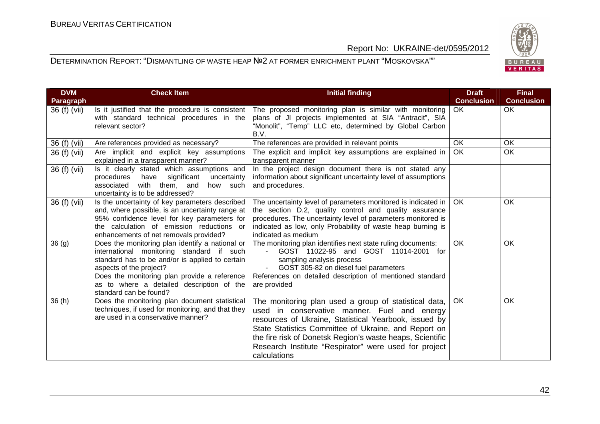

| <b>DVM</b><br>Paragraph | <b>Check Item</b><br><b>Initial finding</b>                                                                                                                                                                                                                                                       |                                                                                                                                                                                                                                                                                                                                                              | <b>Draft</b><br><b>Conclusion</b> | <b>Final</b><br><b>Conclusion</b> |
|-------------------------|---------------------------------------------------------------------------------------------------------------------------------------------------------------------------------------------------------------------------------------------------------------------------------------------------|--------------------------------------------------------------------------------------------------------------------------------------------------------------------------------------------------------------------------------------------------------------------------------------------------------------------------------------------------------------|-----------------------------------|-----------------------------------|
| 36 (f) (vii)            | Is it justified that the procedure is consistent<br>with standard technical procedures in the<br>relevant sector?                                                                                                                                                                                 | The proposed monitoring plan is similar with monitoring<br>plans of JI projects implemented at SIA "Antracit", SIA<br>"Monolit", "Temp" LLC etc, determined by Global Carbon<br>B.V.                                                                                                                                                                         | OK.                               | OK                                |
| 36 (f) (vii)            | Are references provided as necessary?                                                                                                                                                                                                                                                             | The references are provided in relevant points                                                                                                                                                                                                                                                                                                               | <b>OK</b>                         | OK                                |
| 36 (f) (vii)            | Are implicit and explicit key assumptions<br>explained in a transparent manner?                                                                                                                                                                                                                   | The explicit and implicit key assumptions are explained in<br>transparent manner                                                                                                                                                                                                                                                                             | OK                                | OK                                |
| 36 (f) (vii)            | Is it clearly stated which assumptions and<br>significant<br>procedures<br>have<br>uncertainty<br>associated with them, and<br>how such<br>uncertainty is to be addressed?                                                                                                                        | In the project design document there is not stated any<br>information about significant uncertainty level of assumptions<br>and procedures.                                                                                                                                                                                                                  |                                   |                                   |
| 36 (f) (vii)            | Is the uncertainty of key parameters described<br>and, where possible, is an uncertainty range at<br>95% confidence level for key parameters for<br>the calculation of emission reductions or<br>enhancements of net removals provided?                                                           | The uncertainty level of parameters monitored is indicated in<br>the section D.2, quality control and quality assurance<br>procedures. The uncertainty level of parameters monitored is<br>indicated as low, only Probability of waste heap burning is<br>indicated as medium                                                                                | OK                                | OK                                |
| 36(9)                   | Does the monitoring plan identify a national or<br>international monitoring standard if such<br>standard has to be and/or is applied to certain<br>aspects of the project?<br>Does the monitoring plan provide a reference<br>as to where a detailed description of the<br>standard can be found? | The monitoring plan identifies next state ruling documents:<br>GOST 11022-95 and GOST 11014-2001 for<br>sampling analysis process<br>GOST 305-82 on diesel fuel parameters<br>References on detailed description of mentioned standard<br>are provided                                                                                                       | <b>OK</b>                         | OK                                |
| 36(h)                   | Does the monitoring plan document statistical<br>techniques, if used for monitoring, and that they<br>are used in a conservative manner?                                                                                                                                                          | The monitoring plan used a group of statistical data,<br>used in conservative manner. Fuel and energy<br>resources of Ukraine, Statistical Yearbook, issued by<br>State Statistics Committee of Ukraine, and Report on<br>the fire risk of Donetsk Region's waste heaps, Scientific<br>Research Institute "Respirator" were used for project<br>calculations | <b>OK</b>                         | <b>OK</b>                         |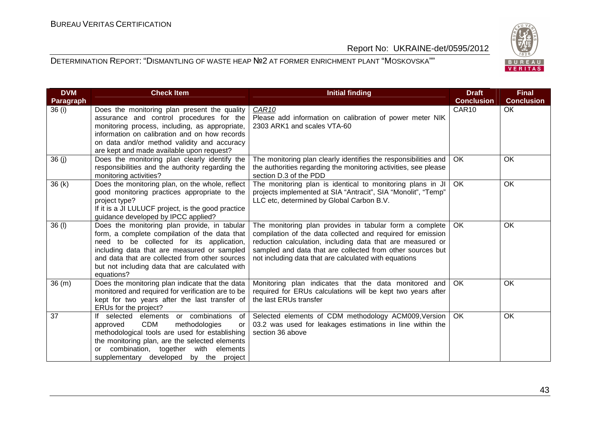

| <b>DVM</b><br>Paragraph | <b>Check Item</b>                                                                                                                                                                                                                                                                                            | <b>Initial finding</b>                                                                                                                                                                                                                                                                                      | <b>Draft</b><br><b>Conclusion</b> | <b>Final</b><br><b>Conclusion</b> |
|-------------------------|--------------------------------------------------------------------------------------------------------------------------------------------------------------------------------------------------------------------------------------------------------------------------------------------------------------|-------------------------------------------------------------------------------------------------------------------------------------------------------------------------------------------------------------------------------------------------------------------------------------------------------------|-----------------------------------|-----------------------------------|
| 36 (i)                  | Does the monitoring plan present the quality<br>assurance and control procedures for the<br>monitoring process, including, as appropriate,<br>information on calibration and on how records<br>on data and/or method validity and accuracy<br>are kept and made available upon request?                      | CAR <sub>10</sub><br>Please add information on calibration of power meter NIK<br>2303 ARK1 and scales VTA-60                                                                                                                                                                                                | CAR10                             | <b>OK</b>                         |
| 36(j)                   | Does the monitoring plan clearly identify the<br>responsibilities and the authority regarding the<br>monitoring activities?                                                                                                                                                                                  | The monitoring plan clearly identifies the responsibilities and<br>the authorities regarding the monitoring activities, see please<br>section D.3 of the PDD                                                                                                                                                | OK                                | OK                                |
| 36(k)                   | Does the monitoring plan, on the whole, reflect<br>good monitoring practices appropriate to the<br>project type?<br>If it is a JI LULUCF project, is the good practice<br>guidance developed by IPCC applied?                                                                                                | The monitoring plan is identical to monitoring plans in JI<br>projects implemented at SIA "Antracit", SIA "Monolit", "Temp"<br>LLC etc, determined by Global Carbon B.V.                                                                                                                                    | OK                                | <b>OK</b>                         |
| 36 (I)                  | Does the monitoring plan provide, in tabular<br>form, a complete compilation of the data that<br>need to be collected for its application,<br>including data that are measured or sampled<br>and data that are collected from other sources<br>but not including data that are calculated with<br>equations? | The monitoring plan provides in tabular form a complete<br>compilation of the data collected and required for emission<br>reduction calculation, including data that are measured or<br>sampled and data that are collected from other sources but<br>not including data that are calculated with equations | <b>OK</b>                         | <b>OK</b>                         |
| 36(m)                   | Does the monitoring plan indicate that the data<br>monitored and required for verification are to be<br>kept for two years after the last transfer of<br>ERUs for the project?                                                                                                                               | Monitoring plan indicates that the data monitored and<br>required for ERUs calculations will be kept two years after<br>the last ERUs transfer                                                                                                                                                              | OK                                | OK                                |
| 37                      | If selected elements or combinations<br>of<br><b>CDM</b><br>methodologies<br>approved<br>or<br>methodological tools are used for establishing<br>the monitoring plan, are the selected elements<br>combination, together with elements<br>$\alpha$<br>supplementary developed by the project                 | Selected elements of CDM methodology ACM009, Version<br>03.2 was used for leakages estimations in line within the<br>section 36 above                                                                                                                                                                       | OK                                | OK                                |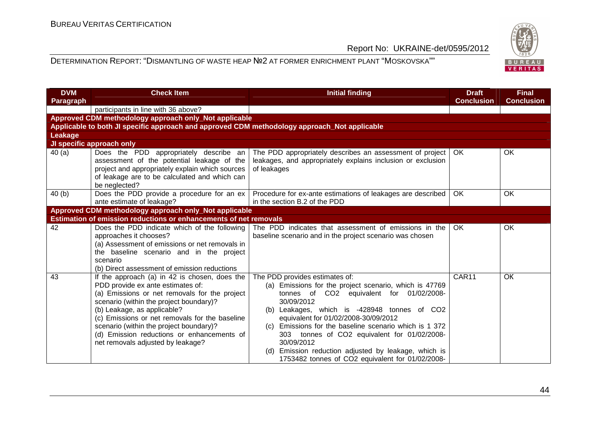

| <b>DVM</b><br><b>Paragraph</b> | <b>Check Item</b>                                                                                                                                                                                                                                                                                                                                                                             | <b>Initial finding</b>                                                                                                                                                                                                                                                                                                                                                                                                                                                               | <b>Draft</b><br><b>Conclusion</b> | <b>Final</b><br><b>Conclusion</b> |
|--------------------------------|-----------------------------------------------------------------------------------------------------------------------------------------------------------------------------------------------------------------------------------------------------------------------------------------------------------------------------------------------------------------------------------------------|--------------------------------------------------------------------------------------------------------------------------------------------------------------------------------------------------------------------------------------------------------------------------------------------------------------------------------------------------------------------------------------------------------------------------------------------------------------------------------------|-----------------------------------|-----------------------------------|
|                                | participants in line with 36 above?                                                                                                                                                                                                                                                                                                                                                           |                                                                                                                                                                                                                                                                                                                                                                                                                                                                                      |                                   |                                   |
|                                | Approved CDM methodology approach only_Not applicable                                                                                                                                                                                                                                                                                                                                         |                                                                                                                                                                                                                                                                                                                                                                                                                                                                                      |                                   |                                   |
|                                | Applicable to both JI specific approach and approved CDM methodology approach_Not applicable                                                                                                                                                                                                                                                                                                  |                                                                                                                                                                                                                                                                                                                                                                                                                                                                                      |                                   |                                   |
| Leakage                        |                                                                                                                                                                                                                                                                                                                                                                                               |                                                                                                                                                                                                                                                                                                                                                                                                                                                                                      |                                   |                                   |
|                                | JI specific approach only                                                                                                                                                                                                                                                                                                                                                                     |                                                                                                                                                                                                                                                                                                                                                                                                                                                                                      |                                   |                                   |
| 40(a)                          | Does the PDD appropriately describe an<br>assessment of the potential leakage of the<br>project and appropriately explain which sources<br>of leakage are to be calculated and which can<br>be neglected?                                                                                                                                                                                     | The PDD appropriately describes an assessment of project<br>leakages, and appropriately explains inclusion or exclusion<br>of leakages                                                                                                                                                                                                                                                                                                                                               | OK.                               | OK                                |
| 40(b)                          | Does the PDD provide a procedure for an ex<br>ante estimate of leakage?                                                                                                                                                                                                                                                                                                                       | Procedure for ex-ante estimations of leakages are described<br>in the section B.2 of the PDD                                                                                                                                                                                                                                                                                                                                                                                         | OK.                               | <b>OK</b>                         |
|                                | Approved CDM methodology approach only_Not applicable                                                                                                                                                                                                                                                                                                                                         |                                                                                                                                                                                                                                                                                                                                                                                                                                                                                      |                                   |                                   |
|                                | Estimation of emission reductions or enhancements of net removals                                                                                                                                                                                                                                                                                                                             |                                                                                                                                                                                                                                                                                                                                                                                                                                                                                      |                                   |                                   |
| 42                             | Does the PDD indicate which of the following<br>approaches it chooses?<br>(a) Assessment of emissions or net removals in<br>the baseline scenario and in the project<br>scenario<br>(b) Direct assessment of emission reductions                                                                                                                                                              | The PDD indicates that assessment of emissions in the<br>baseline scenario and in the project scenario was chosen                                                                                                                                                                                                                                                                                                                                                                    | OK                                | OK.                               |
| 43                             | If the approach (a) in 42 is chosen, does the<br>PDD provide ex ante estimates of:<br>(a) Emissions or net removals for the project<br>scenario (within the project boundary)?<br>(b) Leakage, as applicable?<br>(c) Emissions or net removals for the baseline<br>scenario (within the project boundary)?<br>(d) Emission reductions or enhancements of<br>net removals adjusted by leakage? | The PDD provides estimates of:<br>(a) Emissions for the project scenario, which is 47769<br>tonnes of CO2 equivalent for 01/02/2008-<br>30/09/2012<br>Leakages, which is -428948 tonnes of CO2<br>(b)<br>equivalent for 01/02/2008-30/09/2012<br>(c) Emissions for the baseline scenario which is 1 372<br>303 tonnes of CO2 equivalent for 01/02/2008-<br>30/09/2012<br>Emission reduction adjusted by leakage, which is<br>(d)<br>1753482 tonnes of CO2 equivalent for 01/02/2008- | CAR11                             | OK                                |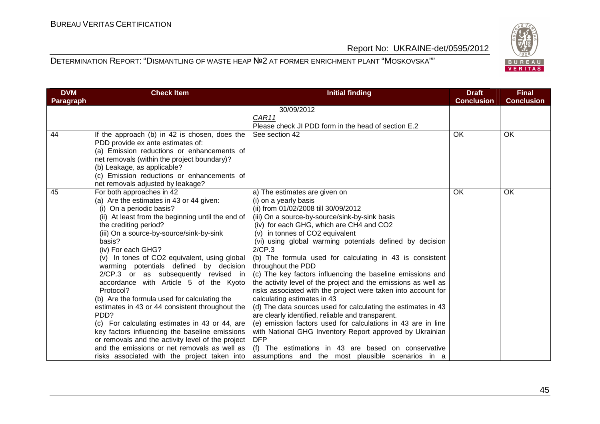

| <b>DVM</b> | <b>Check Item</b>                                 | <b>Initial finding</b>                                         | <b>Draft</b><br><b>Conclusion</b> | <b>Final</b><br><b>Conclusion</b> |
|------------|---------------------------------------------------|----------------------------------------------------------------|-----------------------------------|-----------------------------------|
| Paragraph  |                                                   | 30/09/2012                                                     |                                   |                                   |
|            |                                                   | CAR11                                                          |                                   |                                   |
|            |                                                   | Please check JI PDD form in the head of section E.2            |                                   |                                   |
| 44         | If the approach (b) in 42 is chosen, does the     | See section 42                                                 | <b>OK</b>                         | OK                                |
|            | PDD provide ex ante estimates of:                 |                                                                |                                   |                                   |
|            | (a) Emission reductions or enhancements of        |                                                                |                                   |                                   |
|            | net removals (within the project boundary)?       |                                                                |                                   |                                   |
|            | (b) Leakage, as applicable?                       |                                                                |                                   |                                   |
|            | (c) Emission reductions or enhancements of        |                                                                |                                   |                                   |
|            | net removals adjusted by leakage?                 |                                                                |                                   |                                   |
| 45         | For both approaches in 42                         | a) The estimates are given on                                  | OK.                               | <b>OK</b>                         |
|            | (a) Are the estimates in 43 or 44 given:          | (i) on a yearly basis                                          |                                   |                                   |
|            | (i) On a periodic basis?                          | (ii) from 01/02/2008 till 30/09/2012                           |                                   |                                   |
|            | (ii) At least from the beginning until the end of | (iii) On a source-by-source/sink-by-sink basis                 |                                   |                                   |
|            | the crediting period?                             | (iv) for each GHG, which are CH4 and CO2                       |                                   |                                   |
|            | (iii) On a source-by-source/sink-by-sink          | (v) in tonnes of CO2 equivalent                                |                                   |                                   |
|            | basis?                                            | (vi) using global warming potentials defined by decision       |                                   |                                   |
|            | (iv) For each GHG?                                | 2/CP.3                                                         |                                   |                                   |
|            | (v) In tones of CO2 equivalent, using global      | (b) The formula used for calculating in 43 is consistent       |                                   |                                   |
|            | warming potentials defined by decision            | throughout the PDD                                             |                                   |                                   |
|            | 2/CP.3 or as subsequently revised in              | (c) The key factors influencing the baseline emissions and     |                                   |                                   |
|            | accordance with Article 5 of the Kyoto            | the activity level of the project and the emissions as well as |                                   |                                   |
|            | Protocol?                                         | risks associated with the project were taken into account for  |                                   |                                   |
|            | (b) Are the formula used for calculating the      | calculating estimates in 43                                    |                                   |                                   |
|            | estimates in 43 or 44 consistent throughout the   | (d) The data sources used for calculating the estimates in 43  |                                   |                                   |
|            | PD <sub>D</sub> ?                                 | are clearly identified, reliable and transparent.              |                                   |                                   |
|            | (c) For calculating estimates in 43 or 44, are    | (e) emission factors used for calculations in 43 are in line   |                                   |                                   |
|            | key factors influencing the baseline emissions    | with National GHG Inventory Report approved by Ukrainian       |                                   |                                   |
|            | or removals and the activity level of the project | <b>DFP</b>                                                     |                                   |                                   |
|            | and the emissions or net removals as well as      | (f) The estimations in 43 are based on conservative            |                                   |                                   |
|            | risks associated with the project taken into      | assumptions and the most plausible scenarios in a              |                                   |                                   |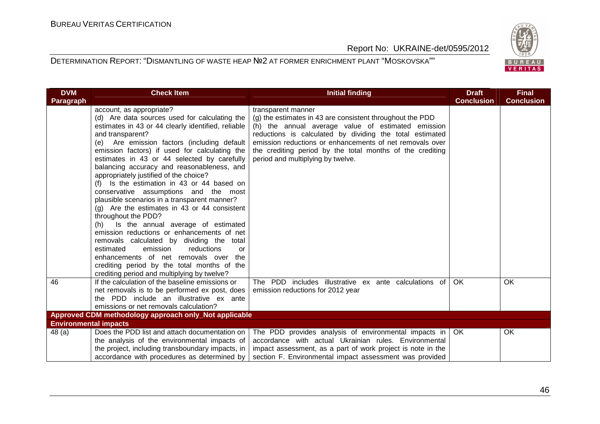

| <b>DVM</b>                   | <b>Check Item</b>                                     | <b>Initial finding</b>                                      | <b>Draft</b>      | <b>Final</b>      |
|------------------------------|-------------------------------------------------------|-------------------------------------------------------------|-------------------|-------------------|
| <b>Paragraph</b>             |                                                       |                                                             | <b>Conclusion</b> | <b>Conclusion</b> |
|                              | account, as appropriate?                              | transparent manner                                          |                   |                   |
|                              | (d) Are data sources used for calculating the         | (g) the estimates in 43 are consistent throughout the PDD   |                   |                   |
|                              | estimates in 43 or 44 clearly identified, reliable    | (h) the annual average value of estimated emission          |                   |                   |
|                              | and transparent?                                      | reductions is calculated by dividing the total estimated    |                   |                   |
|                              | (e) Are emission factors (including default           | emission reductions or enhancements of net removals over    |                   |                   |
|                              | emission factors) if used for calculating the         | the crediting period by the total months of the crediting   |                   |                   |
|                              | estimates in 43 or 44 selected by carefully           | period and multiplying by twelve.                           |                   |                   |
|                              | balancing accuracy and reasonableness, and            |                                                             |                   |                   |
|                              | appropriately justified of the choice?                |                                                             |                   |                   |
|                              | Is the estimation in 43 or 44 based on                |                                                             |                   |                   |
|                              | conservative assumptions and the most                 |                                                             |                   |                   |
|                              | plausible scenarios in a transparent manner?          |                                                             |                   |                   |
|                              | $(g)$ Are the estimates in 43 or 44 consistent        |                                                             |                   |                   |
|                              | throughout the PDD?                                   |                                                             |                   |                   |
|                              | Is the annual average of estimated<br>(h)             |                                                             |                   |                   |
|                              | emission reductions or enhancements of net            |                                                             |                   |                   |
|                              | removals calculated by dividing the total             |                                                             |                   |                   |
|                              | estimated<br>emission<br>reductions<br>or             |                                                             |                   |                   |
|                              | enhancements of net removals over the                 |                                                             |                   |                   |
|                              | crediting period by the total months of the           |                                                             |                   |                   |
|                              | crediting period and multiplying by twelve?           |                                                             |                   |                   |
| 46                           | If the calculation of the baseline emissions or       | The PDD includes illustrative ex ante calculations of       | <b>OK</b>         | OK                |
|                              | net removals is to be performed ex post, does         | emission reductions for 2012 year                           |                   |                   |
|                              | the PDD include an illustrative ex ante               |                                                             |                   |                   |
|                              | emissions or net removals calculation?                |                                                             |                   |                   |
|                              | Approved CDM methodology approach only_Not applicable |                                                             |                   |                   |
| <b>Environmental impacts</b> |                                                       |                                                             |                   |                   |
| 48 (a)                       | Does the PDD list and attach documentation on         | The PDD provides analysis of environmental impacts in   OK  |                   | OK.               |
|                              | the analysis of the environmental impacts of          | accordance with actual Ukrainian rules. Environmental       |                   |                   |
|                              | the project, including transboundary impacts, in      | impact assessment, as a part of work project is note in the |                   |                   |
|                              | accordance with procedures as determined by           | section F. Environmental impact assessment was provided     |                   |                   |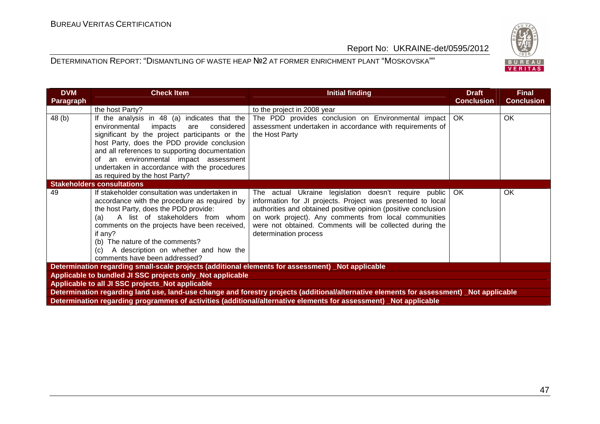

| <b>DVM</b><br>Paragraph                                   | <b>Check Item</b>                                                                                                                                                                                                                                                                                                                                                           | <b>Initial finding</b>                                                                                                                                                                                                                                                                                                               | <b>Draft</b><br><b>Conclusion</b> | <b>Final</b><br><b>Conclusion</b> |  |
|-----------------------------------------------------------|-----------------------------------------------------------------------------------------------------------------------------------------------------------------------------------------------------------------------------------------------------------------------------------------------------------------------------------------------------------------------------|--------------------------------------------------------------------------------------------------------------------------------------------------------------------------------------------------------------------------------------------------------------------------------------------------------------------------------------|-----------------------------------|-----------------------------------|--|
|                                                           | the host Party?                                                                                                                                                                                                                                                                                                                                                             | to the project in 2008 year                                                                                                                                                                                                                                                                                                          |                                   |                                   |  |
| 48(b)                                                     | If the analysis in 48 (a) indicates that the<br>environmental<br>impacts<br>considered<br>are<br>significant by the project participants or the<br>host Party, does the PDD provide conclusion<br>and all references to supporting documentation<br>of an environmental impact assessment<br>undertaken in accordance with the procedures<br>as required by the host Party? | The PDD provides conclusion on Environmental impact<br>assessment undertaken in accordance with requirements of<br>the Host Party                                                                                                                                                                                                    | OK.                               | <b>OK</b>                         |  |
|                                                           | <b>Stakeholders consultations</b>                                                                                                                                                                                                                                                                                                                                           |                                                                                                                                                                                                                                                                                                                                      |                                   |                                   |  |
| 49                                                        | If stakeholder consultation was undertaken in<br>accordance with the procedure as required by<br>the host Party, does the PDD provide:<br>A list of stakeholders from whom<br>(a)<br>comments on the projects have been received,<br>if any?<br>(b) The nature of the comments?<br>(c) A description on whether and how the<br>comments have been addressed?                | The actual Ukraine legislation doesn't require public<br>information for JI projects. Project was presented to local<br>authorities and obtained positive opinion (positive conclusion<br>on work project). Any comments from local communities<br>were not obtained. Comments will be collected during the<br>determination process | OK                                | OK                                |  |
|                                                           | Determination regarding small-scale projects (additional elements for assessment) Not applicable                                                                                                                                                                                                                                                                            |                                                                                                                                                                                                                                                                                                                                      |                                   |                                   |  |
| Applicable to bundled JI SSC projects only_Not applicable |                                                                                                                                                                                                                                                                                                                                                                             |                                                                                                                                                                                                                                                                                                                                      |                                   |                                   |  |
|                                                           | Applicable to all JI SSC projects_Not applicable                                                                                                                                                                                                                                                                                                                            |                                                                                                                                                                                                                                                                                                                                      |                                   |                                   |  |
|                                                           |                                                                                                                                                                                                                                                                                                                                                                             | Determination regarding land use, land-use change and forestry projects (additional/alternative elements for assessment) Not applicable                                                                                                                                                                                              |                                   |                                   |  |
|                                                           |                                                                                                                                                                                                                                                                                                                                                                             | Determination regarding programmes of activities (additional/alternative elements for assessment) Not applicable                                                                                                                                                                                                                     |                                   |                                   |  |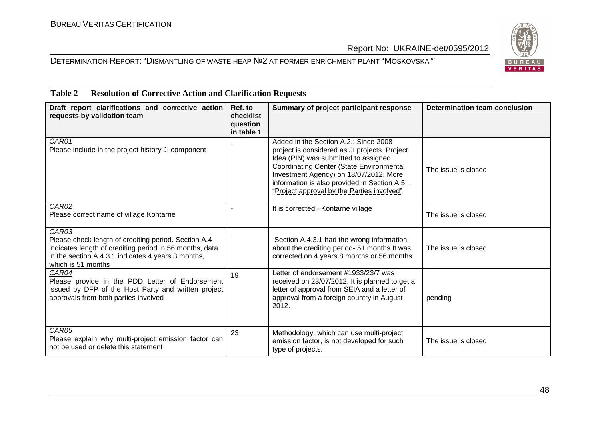#### DETERMINATION REPORT: "DISMANTLING OF WASTE HEAP №2 AT FORMER ENRICHMENT PLANT "MOSKOVSKA""



#### **Draft report clarifications and corrective action requests by validation team Ref. to checklist question in table 1 Summary of project participant response Determination team conclusion** CAR<sub>01</sub> Please include in the project history JI component Added in the Section A.2  $\cdot$  Since 2008 project is considered as JI projects. Project Idea (PIN) was submitted to assigned Coordinating Center (State Environmental Investment Agency) on 18/07/2012. More information is also provided in Section A.5. . "Project approval by the Parties involved"The issue is closed CAR<sub>02</sub>  $\begin{array}{|c|c|c|c|c|}\hline \text{LAKUZ} & & & \text{The image shows a linear combination of the image with a linear combination of the image.} \hline \end{array}$ CAR03 Please check length of crediting period. Section A.4 indicates length of crediting period in 56 months, data in the section A.4.3.1 indicates 4 years 3 months, which is 51 months- Section A.4.3.1 had the wrong information about the crediting period- 51 months.It was corrected on 4 years 8 months or 56 months The issue is closedCAR04 Please provide in the PDD Letter of Endorsement issued by DFP of the Host Party and written projectapprovals from both parties involved19 **Letter of endorsement #1933/23/7 was** received on 23/07/2012. It is planned to get a letter of approval from SEIA and a letter of approval from a foreign country in August 2012. pending CAR<sub>05</sub> Please explain why multi-project emission factor can not be used or delete this statement 23 Methodology, which can use multi-project emission factor, is not developed for such type of projects. The issue is closed

# **Table 2 Resolution of Corrective Action and Clarification Requests**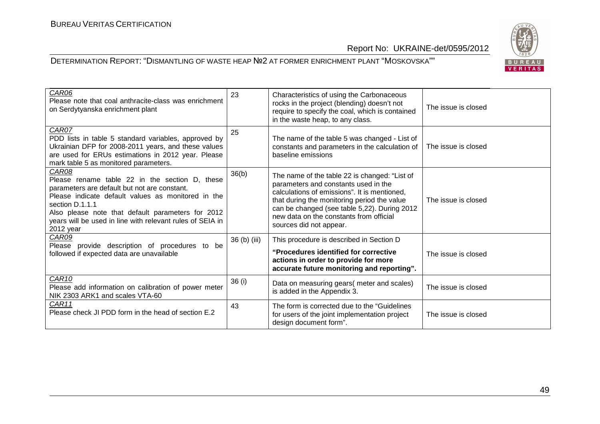

| CAR06<br>Please note that coal anthracite-class was enrichment<br>on Serdytyanska enrichment plant                                                                                                                                                                                                              | 23           | Characteristics of using the Carbonaceous<br>rocks in the project (blending) doesn't not<br>require to specify the coal, which is contained<br>in the waste heap, to any class.                                                                                                                            | The issue is closed |
|-----------------------------------------------------------------------------------------------------------------------------------------------------------------------------------------------------------------------------------------------------------------------------------------------------------------|--------------|------------------------------------------------------------------------------------------------------------------------------------------------------------------------------------------------------------------------------------------------------------------------------------------------------------|---------------------|
| CAR07<br>PDD lists in table 5 standard variables, approved by<br>Ukrainian DFP for 2008-2011 years, and these values<br>are used for ERUs estimations in 2012 year. Please<br>mark table 5 as monitored parameters.                                                                                             | 25           | The name of the table 5 was changed - List of<br>constants and parameters in the calculation of<br>baseline emissions                                                                                                                                                                                      | The issue is closed |
| CAR08<br>Please rename table 22 in the section D, these<br>parameters are default but not are constant.<br>Please indicate default values as monitored in the<br>section D.1.1.1<br>Also please note that default parameters for 2012<br>years will be used in line with relevant rules of SEIA in<br>2012 year | 36(b)        | The name of the table 22 is changed: "List of<br>parameters and constants used in the<br>calculations of emissions". It is mentioned,<br>that during the monitoring period the value<br>can be changed (see table 5,22). During 2012<br>new data on the constants from official<br>sources did not appear. | The issue is closed |
| CAR09<br>Please provide description of procedures to be<br>followed if expected data are unavailable                                                                                                                                                                                                            | 36 (b) (iii) | This procedure is described in Section D<br>"Procedures identified for corrective<br>actions in order to provide for more<br>accurate future monitoring and reporting".                                                                                                                                    | The issue is closed |
| CAR10<br>Please add information on calibration of power meter<br>NIK 2303 ARK1 and scales VTA-60                                                                                                                                                                                                                | 36 (i)       | Data on measuring gears(meter and scales)<br>is added in the Appendix 3.                                                                                                                                                                                                                                   | The issue is closed |
| CAR11<br>Please check JI PDD form in the head of section E.2                                                                                                                                                                                                                                                    | 43           | The form is corrected due to the "Guidelines"<br>for users of the joint implementation project<br>design document form".                                                                                                                                                                                   | The issue is closed |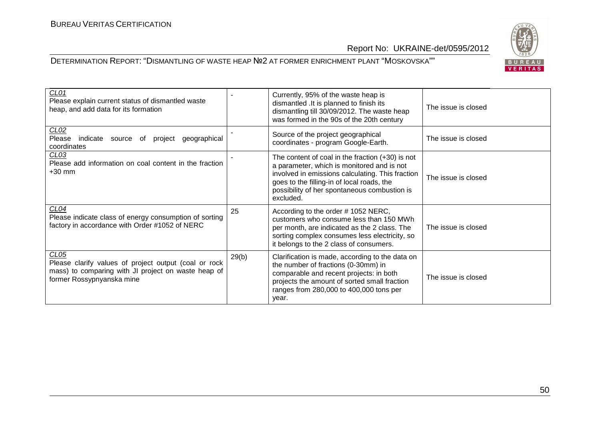

| CLO1<br>Please explain current status of dismantled waste<br>heap, and add data for its formation                                                             |       | Currently, 95% of the waste heap is<br>dismantled . It is planned to finish its<br>dismantling till 30/09/2012. The waste heap<br>was formed in the 90s of the 20th century                                                                                     | The issue is closed |
|---------------------------------------------------------------------------------------------------------------------------------------------------------------|-------|-----------------------------------------------------------------------------------------------------------------------------------------------------------------------------------------------------------------------------------------------------------------|---------------------|
| CLO2<br>indicate<br>Please<br>geographical<br>source<br>of<br>project<br>coordinates                                                                          |       | Source of the project geographical<br>coordinates - program Google-Earth.                                                                                                                                                                                       | The issue is closed |
| CL <sub>03</sub><br>Please add information on coal content in the fraction<br>$+30$ mm                                                                        |       | The content of coal in the fraction $(+30)$ is not<br>a parameter, which is monitored and is not<br>involved in emissions calculating. This fraction<br>goes to the filling-in of local roads, the<br>possibility of her spontaneous combustion is<br>excluded. | The issue is closed |
| CL04<br>Please indicate class of energy consumption of sorting<br>factory in accordance with Order #1052 of NERC                                              | 25    | According to the order #1052 NERC,<br>customers who consume less than 150 MWh<br>per month, are indicated as the 2 class. The<br>sorting complex consumes less electricity, so<br>it belongs to the 2 class of consumers.                                       | The issue is closed |
| CL <sub>05</sub><br>Please clarify values of project output (coal or rock<br>mass) to comparing with JI project on waste heap of<br>former Rossypnyanska mine | 29(b) | Clarification is made, according to the data on<br>the number of fractions (0-30mm) in<br>comparable and recent projects: in both<br>projects the amount of sorted small fraction<br>ranges from 280,000 to 400,000 tons per<br>year.                           | The issue is closed |